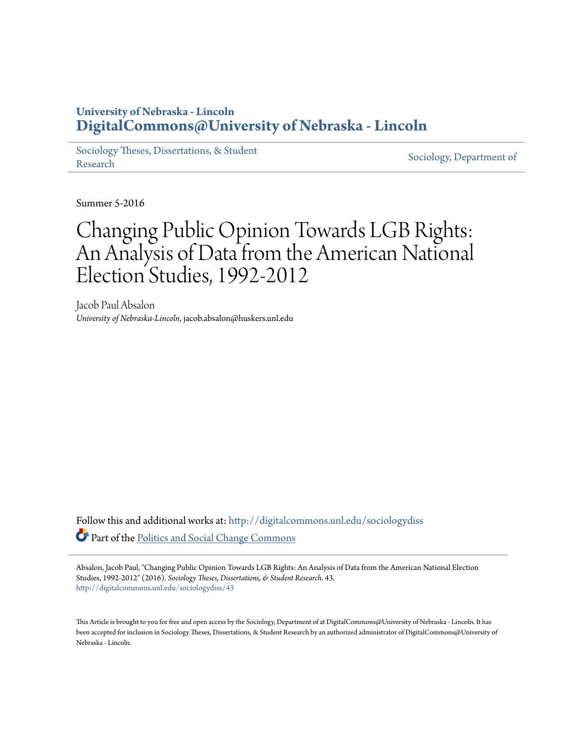## **University of Nebraska - Lincoln [DigitalCommons@University of Nebraska - Lincoln](http://digitalcommons.unl.edu?utm_source=digitalcommons.unl.edu%2Fsociologydiss%2F43&utm_medium=PDF&utm_campaign=PDFCoverPages)**

[Sociology Theses, Dissertations, & Student](http://digitalcommons.unl.edu/sociologydiss?utm_source=digitalcommons.unl.edu%2Fsociologydiss%2F43&utm_medium=PDF&utm_campaign=PDFCoverPages) [Research](http://digitalcommons.unl.edu/sociologydiss?utm_source=digitalcommons.unl.edu%2Fsociologydiss%2F43&utm_medium=PDF&utm_campaign=PDFCoverPages) Sociology, Dissertations, & Student [Sociology, Department of](http://digitalcommons.unl.edu/sociology?utm_source=digitalcommons.unl.edu%2Fsociologydiss%2F43&utm_medium=PDF&utm_campaign=PDFCoverPages)

Summer 5-2016

# Changing Public Opinion Towards LGB Rights: An Analysis of Data from the American National Election Studies, 1992-2012

Jacob Paul Absalon *University of Nebraska-Lincoln*, jacob.absalon@huskers.unl.edu

Follow this and additional works at: [http://digitalcommons.unl.edu/sociologydiss](http://digitalcommons.unl.edu/sociologydiss?utm_source=digitalcommons.unl.edu%2Fsociologydiss%2F43&utm_medium=PDF&utm_campaign=PDFCoverPages) Part of the [Politics and Social Change Commons](http://network.bepress.com/hgg/discipline/425?utm_source=digitalcommons.unl.edu%2Fsociologydiss%2F43&utm_medium=PDF&utm_campaign=PDFCoverPages)

Absalon, Jacob Paul, "Changing Public Opinion Towards LGB Rights: An Analysis of Data from the American National Election Studies, 1992-2012" (2016). *Sociology Theses, Dissertations, & Student Research*. 43. [http://digitalcommons.unl.edu/sociologydiss/43](http://digitalcommons.unl.edu/sociologydiss/43?utm_source=digitalcommons.unl.edu%2Fsociologydiss%2F43&utm_medium=PDF&utm_campaign=PDFCoverPages)

This Article is brought to you for free and open access by the Sociology, Department of at DigitalCommons@University of Nebraska - Lincoln. It has been accepted for inclusion in Sociology Theses, Dissertations, & Student Research by an authorized administrator of DigitalCommons@University of Nebraska - Lincoln.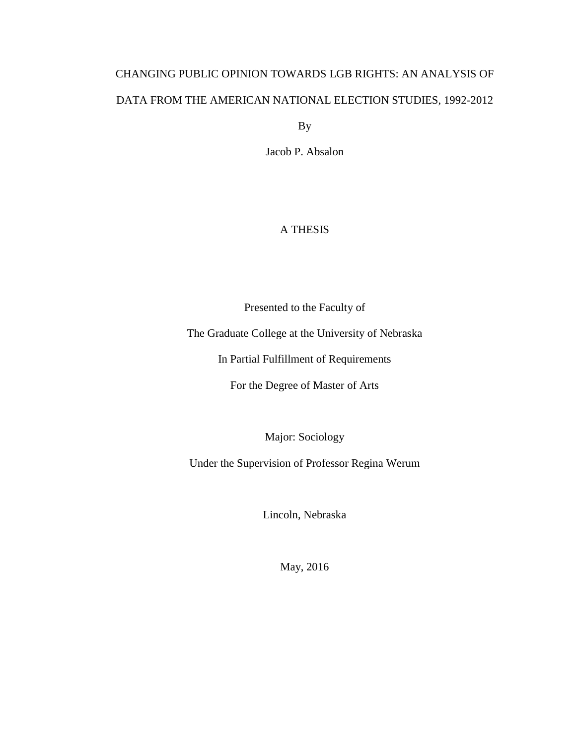## CHANGING PUBLIC OPINION TOWARDS LGB RIGHTS: AN ANALYSIS OF DATA FROM THE AMERICAN NATIONAL ELECTION STUDIES, 1992-2012

By

Jacob P. Absalon

## A THESIS

Presented to the Faculty of

The Graduate College at the University of Nebraska

In Partial Fulfillment of Requirements

For the Degree of Master of Arts

Major: Sociology

Under the Supervision of Professor Regina Werum

Lincoln, Nebraska

May, 2016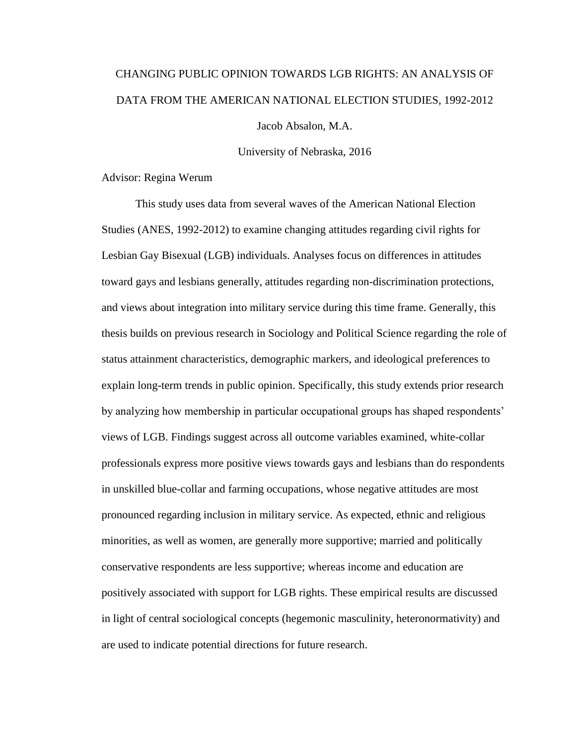# CHANGING PUBLIC OPINION TOWARDS LGB RIGHTS: AN ANALYSIS OF DATA FROM THE AMERICAN NATIONAL ELECTION STUDIES, 1992-2012

Jacob Absalon, M.A.

University of Nebraska, 2016

Advisor: Regina Werum

This study uses data from several waves of the American National Election Studies (ANES, 1992-2012) to examine changing attitudes regarding civil rights for Lesbian Gay Bisexual (LGB) individuals. Analyses focus on differences in attitudes toward gays and lesbians generally, attitudes regarding non-discrimination protections, and views about integration into military service during this time frame. Generally, this thesis builds on previous research in Sociology and Political Science regarding the role of status attainment characteristics, demographic markers, and ideological preferences to explain long-term trends in public opinion. Specifically, this study extends prior research by analyzing how membership in particular occupational groups has shaped respondents' views of LGB. Findings suggest across all outcome variables examined, white-collar professionals express more positive views towards gays and lesbians than do respondents in unskilled blue-collar and farming occupations, whose negative attitudes are most pronounced regarding inclusion in military service. As expected, ethnic and religious minorities, as well as women, are generally more supportive; married and politically conservative respondents are less supportive; whereas income and education are positively associated with support for LGB rights. These empirical results are discussed in light of central sociological concepts (hegemonic masculinity, heteronormativity) and are used to indicate potential directions for future research.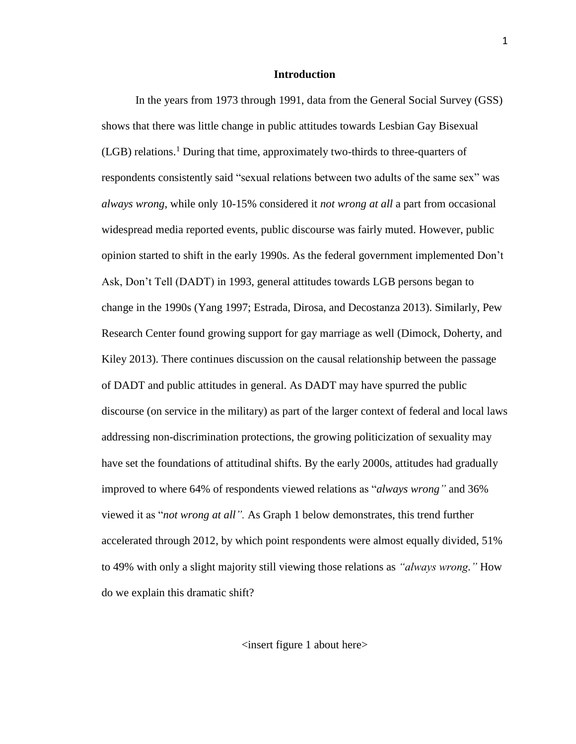## **Introduction**

In the years from 1973 through 1991, data from the General Social Survey (GSS) shows that there was little change in public attitudes towards Lesbian Gay Bisexual (LGB) relations. <sup>1</sup> During that time, approximately two-thirds to three-quarters of respondents consistently said "sexual relations between two adults of the same sex" was *always wrong,* while only 10-15% considered it *not wrong at all* a part from occasional widespread media reported events, public discourse was fairly muted. However, public opinion started to shift in the early 1990s. As the federal government implemented Don't Ask, Don't Tell (DADT) in 1993, general attitudes towards LGB persons began to change in the 1990s (Yang 1997; Estrada, Dirosa, and Decostanza 2013). Similarly, Pew Research Center found growing support for gay marriage as well (Dimock, Doherty, and Kiley 2013). There continues discussion on the causal relationship between the passage of DADT and public attitudes in general. As DADT may have spurred the public discourse (on service in the military) as part of the larger context of federal and local laws addressing non-discrimination protections, the growing politicization of sexuality may have set the foundations of attitudinal shifts. By the early 2000s, attitudes had gradually improved to where 64% of respondents viewed relations as "*always wrong"* and 36% viewed it as "*not wrong at all".* As Graph 1 below demonstrates, this trend further accelerated through 2012, by which point respondents were almost equally divided, 51% to 49% with only a slight majority still viewing those relations as *"always wrong."* How do we explain this dramatic shift?

<insert figure 1 about here>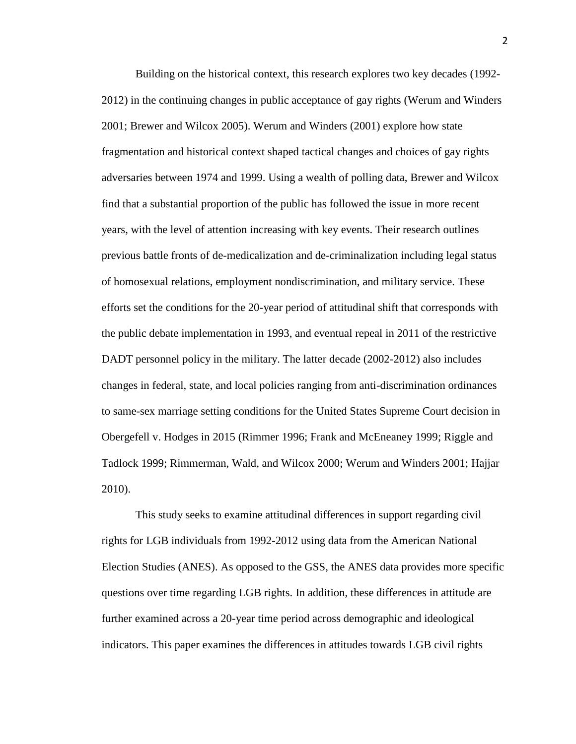Building on the historical context, this research explores two key decades (1992- 2012) in the continuing changes in public acceptance of gay rights (Werum and Winders 2001; Brewer and Wilcox 2005). Werum and Winders (2001) explore how state fragmentation and historical context shaped tactical changes and choices of gay rights adversaries between 1974 and 1999. Using a wealth of polling data, Brewer and Wilcox find that a substantial proportion of the public has followed the issue in more recent years, with the level of attention increasing with key events. Their research outlines previous battle fronts of de-medicalization and de-criminalization including legal status of homosexual relations, employment nondiscrimination, and military service. These efforts set the conditions for the 20-year period of attitudinal shift that corresponds with the public debate implementation in 1993, and eventual repeal in 2011 of the restrictive DADT personnel policy in the military. The latter decade (2002-2012) also includes changes in federal, state, and local policies ranging from anti-discrimination ordinances to same-sex marriage setting conditions for the United States Supreme Court decision in Obergefell v. Hodges in 2015 (Rimmer 1996; Frank and McEneaney 1999; Riggle and Tadlock 1999; Rimmerman, Wald, and Wilcox 2000; Werum and Winders 2001; Hajjar 2010).

This study seeks to examine attitudinal differences in support regarding civil rights for LGB individuals from 1992-2012 using data from the American National Election Studies (ANES). As opposed to the GSS, the ANES data provides more specific questions over time regarding LGB rights. In addition, these differences in attitude are further examined across a 20-year time period across demographic and ideological indicators. This paper examines the differences in attitudes towards LGB civil rights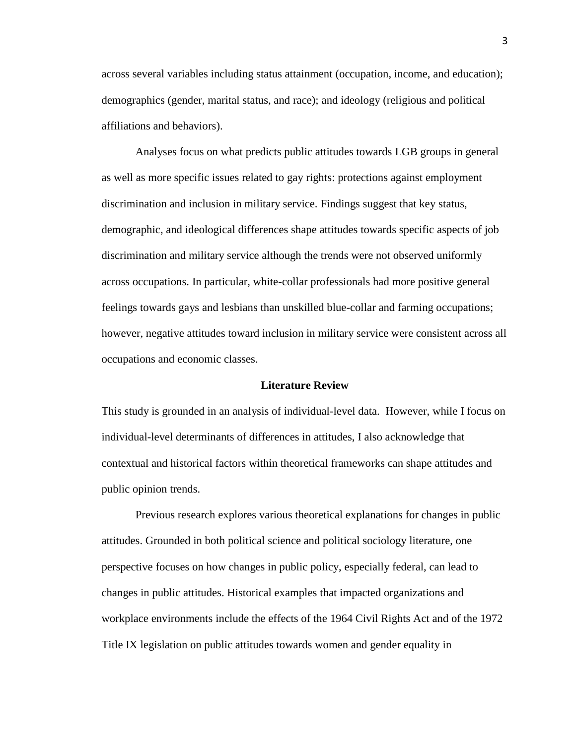across several variables including status attainment (occupation, income, and education); demographics (gender, marital status, and race); and ideology (religious and political affiliations and behaviors).

Analyses focus on what predicts public attitudes towards LGB groups in general as well as more specific issues related to gay rights: protections against employment discrimination and inclusion in military service. Findings suggest that key status, demographic, and ideological differences shape attitudes towards specific aspects of job discrimination and military service although the trends were not observed uniformly across occupations. In particular, white-collar professionals had more positive general feelings towards gays and lesbians than unskilled blue-collar and farming occupations; however, negative attitudes toward inclusion in military service were consistent across all occupations and economic classes.

## **Literature Review**

This study is grounded in an analysis of individual-level data. However, while I focus on individual-level determinants of differences in attitudes, I also acknowledge that contextual and historical factors within theoretical frameworks can shape attitudes and public opinion trends.

Previous research explores various theoretical explanations for changes in public attitudes. Grounded in both political science and political sociology literature, one perspective focuses on how changes in public policy, especially federal, can lead to changes in public attitudes. Historical examples that impacted organizations and workplace environments include the effects of the 1964 Civil Rights Act and of the 1972 Title IX legislation on public attitudes towards women and gender equality in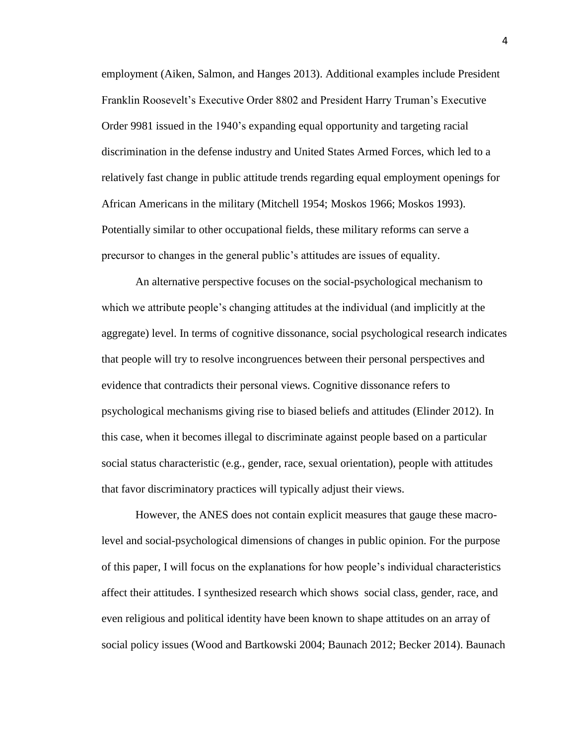employment (Aiken, Salmon, and Hanges 2013). Additional examples include President Franklin Roosevelt's Executive Order 8802 and President Harry Truman's Executive Order 9981 issued in the 1940's expanding equal opportunity and targeting racial discrimination in the defense industry and United States Armed Forces, which led to a relatively fast change in public attitude trends regarding equal employment openings for African Americans in the military (Mitchell 1954; Moskos 1966; Moskos 1993). Potentially similar to other occupational fields, these military reforms can serve a precursor to changes in the general public's attitudes are issues of equality.

An alternative perspective focuses on the social-psychological mechanism to which we attribute people's changing attitudes at the individual (and implicitly at the aggregate) level. In terms of cognitive dissonance, social psychological research indicates that people will try to resolve incongruences between their personal perspectives and evidence that contradicts their personal views. Cognitive dissonance refers to psychological mechanisms giving rise to biased beliefs and attitudes (Elinder 2012). In this case, when it becomes illegal to discriminate against people based on a particular social status characteristic (e.g., gender, race, sexual orientation), people with attitudes that favor discriminatory practices will typically adjust their views.

However, the ANES does not contain explicit measures that gauge these macrolevel and social-psychological dimensions of changes in public opinion. For the purpose of this paper, I will focus on the explanations for how people's individual characteristics affect their attitudes. I synthesized research which shows social class, gender, race, and even religious and political identity have been known to shape attitudes on an array of social policy issues (Wood and Bartkowski 2004; Baunach 2012; Becker 2014). Baunach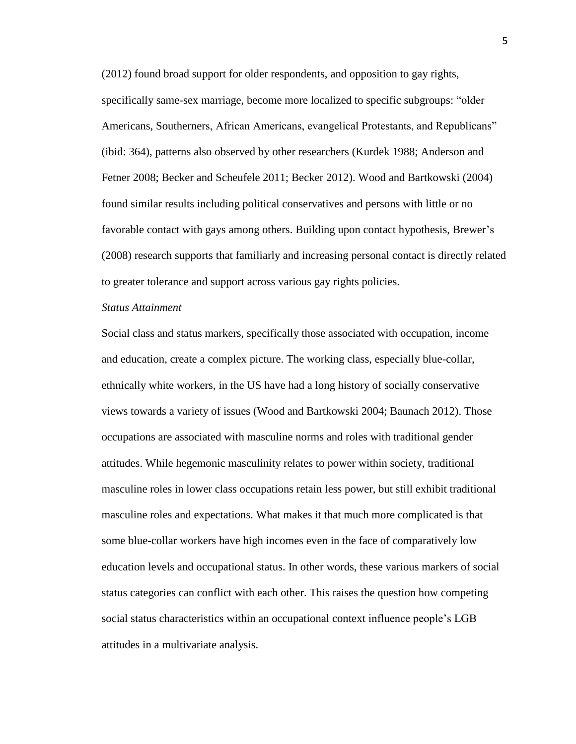(2012) found broad support for older respondents, and opposition to gay rights, specifically same-sex marriage, become more localized to specific subgroups: "older Americans, Southerners, African Americans, evangelical Protestants, and Republicans" (ibid: 364), patterns also observed by other researchers (Kurdek 1988; Anderson and Fetner 2008; Becker and Scheufele 2011; Becker 2012). Wood and Bartkowski (2004) found similar results including political conservatives and persons with little or no favorable contact with gays among others. Building upon contact hypothesis, Brewer's (2008) research supports that familiarly and increasing personal contact is directly related to greater tolerance and support across various gay rights policies.

## *Status Attainment*

Social class and status markers, specifically those associated with occupation, income and education, create a complex picture. The working class, especially blue-collar, ethnically white workers, in the US have had a long history of socially conservative views towards a variety of issues (Wood and Bartkowski 2004; Baunach 2012). Those occupations are associated with masculine norms and roles with traditional gender attitudes. While hegemonic masculinity relates to power within society, traditional masculine roles in lower class occupations retain less power, but still exhibit traditional masculine roles and expectations. What makes it that much more complicated is that some blue-collar workers have high incomes even in the face of comparatively low education levels and occupational status. In other words, these various markers of social status categories can conflict with each other. This raises the question how competing social status characteristics within an occupational context influence people's LGB attitudes in a multivariate analysis.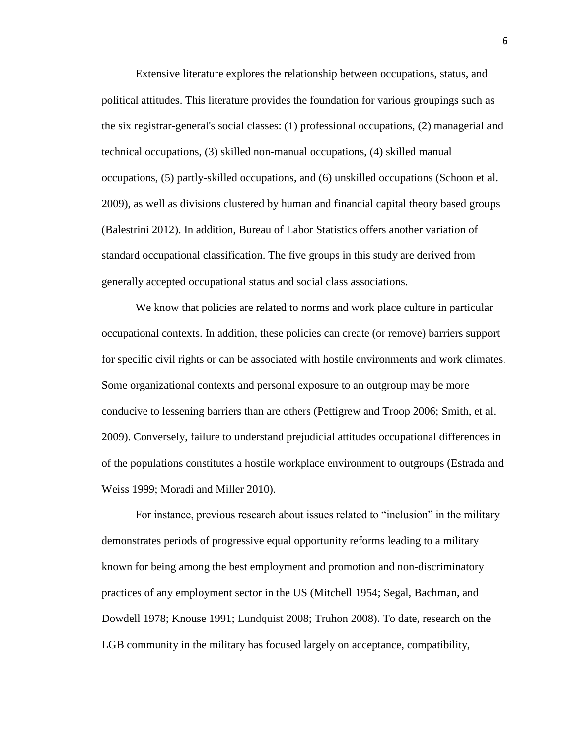Extensive literature explores the relationship between occupations, status, and political attitudes. This literature provides the foundation for various groupings such as the six registrar-general's social classes: (1) professional occupations, (2) managerial and technical occupations, (3) skilled non-manual occupations, (4) skilled manual occupations, (5) partly-skilled occupations, and (6) unskilled occupations (Schoon et al. 2009), as well as divisions clustered by human and financial capital theory based groups (Balestrini 2012). In addition, Bureau of Labor Statistics offers another variation of standard occupational classification. The five groups in this study are derived from generally accepted occupational status and social class associations.

We know that policies are related to norms and work place culture in particular occupational contexts. In addition, these policies can create (or remove) barriers support for specific civil rights or can be associated with hostile environments and work climates. Some organizational contexts and personal exposure to an outgroup may be more conducive to lessening barriers than are others (Pettigrew and Troop 2006; Smith, et al. 2009). Conversely, failure to understand prejudicial attitudes occupational differences in of the populations constitutes a hostile workplace environment to outgroups (Estrada and Weiss 1999; Moradi and Miller 2010).

For instance, previous research about issues related to "inclusion" in the military demonstrates periods of progressive equal opportunity reforms leading to a military known for being among the best employment and promotion and non-discriminatory practices of any employment sector in the US (Mitchell 1954; Segal, Bachman, and Dowdell 1978; Knouse 1991; Lundquist 2008; Truhon 2008). To date, research on the LGB community in the military has focused largely on acceptance, compatibility,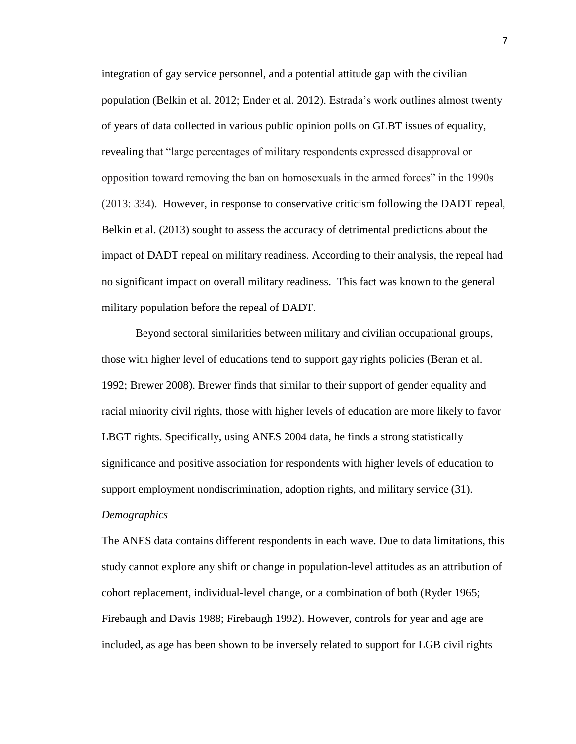integration of gay service personnel, and a potential attitude gap with the civilian population (Belkin et al. 2012; Ender et al. 2012). Estrada's work outlines almost twenty of years of data collected in various public opinion polls on GLBT issues of equality, revealing that "large percentages of military respondents expressed disapproval or opposition toward removing the ban on homosexuals in the armed forces" in the 1990s (2013: 334). However, in response to conservative criticism following the DADT repeal, Belkin et al. (2013) sought to assess the accuracy of detrimental predictions about the impact of DADT repeal on military readiness. According to their analysis, the repeal had no significant impact on overall military readiness. This fact was known to the general military population before the repeal of DADT.

Beyond sectoral similarities between military and civilian occupational groups, those with higher level of educations tend to support gay rights policies (Beran et al. 1992; Brewer 2008). Brewer finds that similar to their support of gender equality and racial minority civil rights, those with higher levels of education are more likely to favor LBGT rights. Specifically, using ANES 2004 data, he finds a strong statistically significance and positive association for respondents with higher levels of education to support employment nondiscrimination, adoption rights, and military service (31). *Demographics*

The ANES data contains different respondents in each wave. Due to data limitations, this study cannot explore any shift or change in population-level attitudes as an attribution of cohort replacement, individual-level change, or a combination of both (Ryder 1965; Firebaugh and Davis 1988; Firebaugh 1992). However, controls for year and age are included, as age has been shown to be inversely related to support for LGB civil rights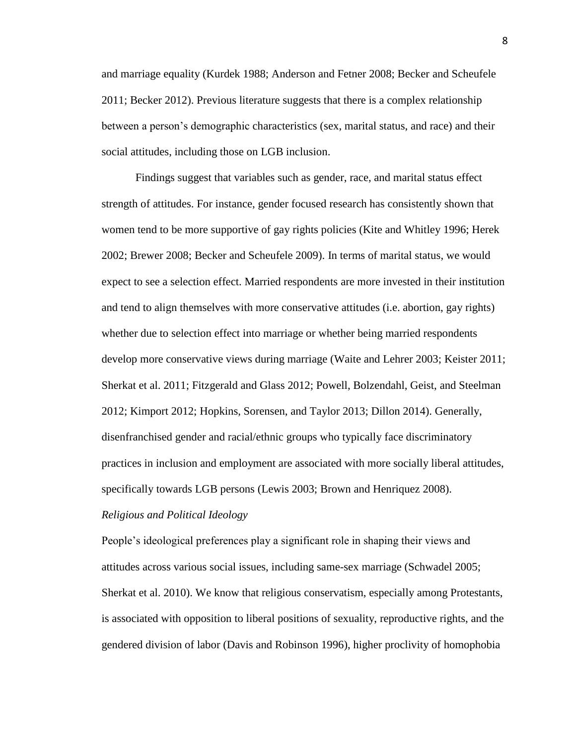and marriage equality (Kurdek 1988; Anderson and Fetner 2008; Becker and Scheufele 2011; Becker 2012). Previous literature suggests that there is a complex relationship between a person's demographic characteristics (sex, marital status, and race) and their social attitudes, including those on LGB inclusion.

Findings suggest that variables such as gender, race, and marital status effect strength of attitudes. For instance, gender focused research has consistently shown that women tend to be more supportive of gay rights policies (Kite and Whitley 1996; Herek 2002; Brewer 2008; Becker and Scheufele 2009). In terms of marital status, we would expect to see a selection effect. Married respondents are more invested in their institution and tend to align themselves with more conservative attitudes (i.e. abortion, gay rights) whether due to selection effect into marriage or whether being married respondents develop more conservative views during marriage (Waite and Lehrer 2003; Keister 2011; Sherkat et al. 2011; Fitzgerald and Glass 2012; Powell, Bolzendahl, Geist, and Steelman 2012; Kimport 2012; Hopkins, Sorensen, and Taylor 2013; Dillon 2014). Generally, disenfranchised gender and racial/ethnic groups who typically face discriminatory practices in inclusion and employment are associated with more socially liberal attitudes, specifically towards LGB persons (Lewis 2003; Brown and Henriquez 2008).

## *Religious and Political Ideology*

People's ideological preferences play a significant role in shaping their views and attitudes across various social issues, including same-sex marriage (Schwadel 2005; Sherkat et al. 2010). We know that religious conservatism, especially among Protestants, is associated with opposition to liberal positions of sexuality, reproductive rights, and the gendered division of labor (Davis and Robinson 1996), higher proclivity of homophobia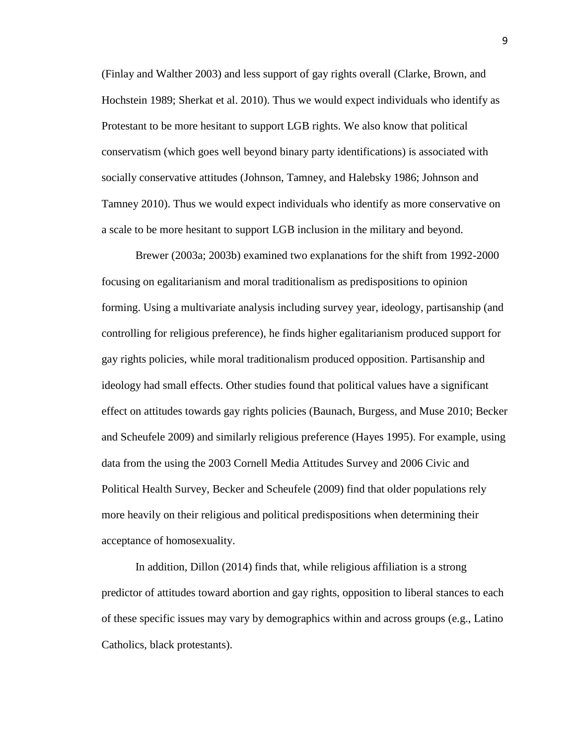(Finlay and Walther 2003) and less support of gay rights overall (Clarke, Brown, and Hochstein 1989; Sherkat et al. 2010). Thus we would expect individuals who identify as Protestant to be more hesitant to support LGB rights. We also know that political conservatism (which goes well beyond binary party identifications) is associated with socially conservative attitudes (Johnson, Tamney, and Halebsky 1986; Johnson and Tamney 2010). Thus we would expect individuals who identify as more conservative on a scale to be more hesitant to support LGB inclusion in the military and beyond.

Brewer (2003a; 2003b) examined two explanations for the shift from 1992-2000 focusing on egalitarianism and moral traditionalism as predispositions to opinion forming. Using a multivariate analysis including survey year, ideology, partisanship (and controlling for religious preference), he finds higher egalitarianism produced support for gay rights policies, while moral traditionalism produced opposition. Partisanship and ideology had small effects. Other studies found that political values have a significant effect on attitudes towards gay rights policies (Baunach, Burgess, and Muse 2010; Becker and Scheufele 2009) and similarly religious preference (Hayes 1995). For example, using data from the using the 2003 Cornell Media Attitudes Survey and 2006 Civic and Political Health Survey, Becker and Scheufele (2009) find that older populations rely more heavily on their religious and political predispositions when determining their acceptance of homosexuality.

In addition, Dillon (2014) finds that, while religious affiliation is a strong predictor of attitudes toward abortion and gay rights, opposition to liberal stances to each of these specific issues may vary by demographics within and across groups (e.g., Latino Catholics, black protestants).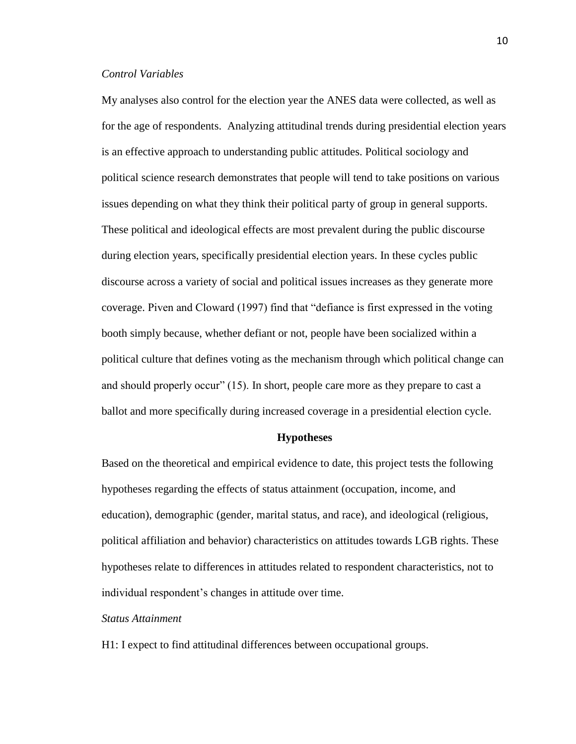## *Control Variables*

My analyses also control for the election year the ANES data were collected, as well as for the age of respondents. Analyzing attitudinal trends during presidential election years is an effective approach to understanding public attitudes. Political sociology and political science research demonstrates that people will tend to take positions on various issues depending on what they think their political party of group in general supports. These political and ideological effects are most prevalent during the public discourse during election years, specifically presidential election years. In these cycles public discourse across a variety of social and political issues increases as they generate more coverage. Piven and Cloward (1997) find that "defiance is first expressed in the voting booth simply because, whether defiant or not, people have been socialized within a political culture that defines voting as the mechanism through which political change can and should properly occur" (15). In short, people care more as they prepare to cast a ballot and more specifically during increased coverage in a presidential election cycle.

## **Hypotheses**

Based on the theoretical and empirical evidence to date, this project tests the following hypotheses regarding the effects of status attainment (occupation, income, and education), demographic (gender, marital status, and race), and ideological (religious, political affiliation and behavior) characteristics on attitudes towards LGB rights. These hypotheses relate to differences in attitudes related to respondent characteristics, not to individual respondent's changes in attitude over time.

## *Status Attainment*

H1: I expect to find attitudinal differences between occupational groups.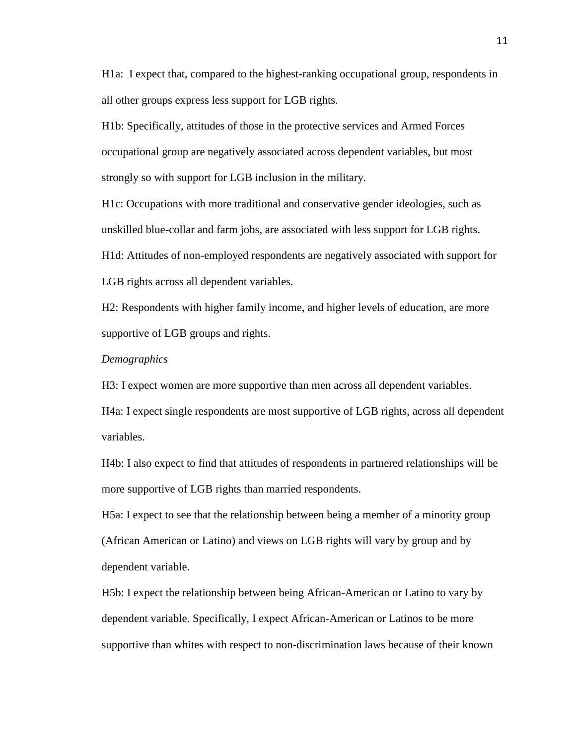H1a: I expect that, compared to the highest-ranking occupational group, respondents in all other groups express less support for LGB rights.

H1b: Specifically, attitudes of those in the protective services and Armed Forces occupational group are negatively associated across dependent variables, but most strongly so with support for LGB inclusion in the military.

H1c: Occupations with more traditional and conservative gender ideologies, such as unskilled blue-collar and farm jobs, are associated with less support for LGB rights. H1d: Attitudes of non-employed respondents are negatively associated with support for

LGB rights across all dependent variables.

H2: Respondents with higher family income, and higher levels of education, are more supportive of LGB groups and rights.

## *Demographics*

H3: I expect women are more supportive than men across all dependent variables.

H4a: I expect single respondents are most supportive of LGB rights, across all dependent variables.

H4b: I also expect to find that attitudes of respondents in partnered relationships will be more supportive of LGB rights than married respondents.

H5a: I expect to see that the relationship between being a member of a minority group (African American or Latino) and views on LGB rights will vary by group and by dependent variable.

H5b: I expect the relationship between being African-American or Latino to vary by dependent variable. Specifically, I expect African-American or Latinos to be more supportive than whites with respect to non-discrimination laws because of their known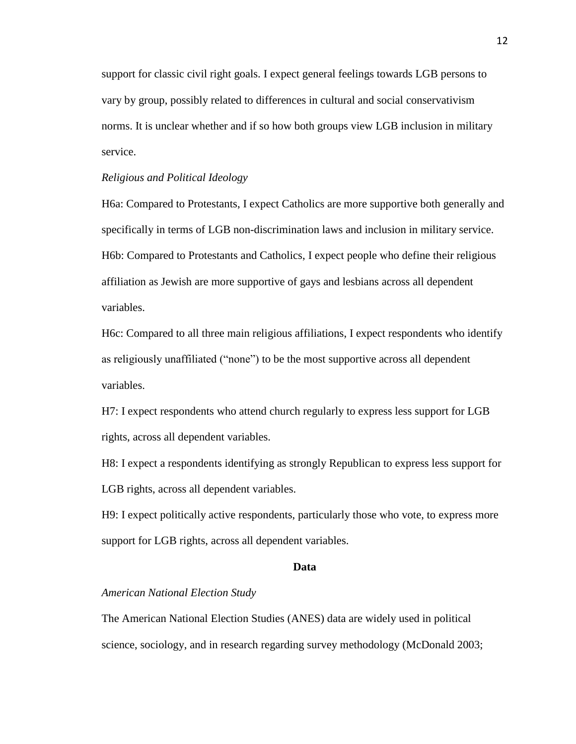support for classic civil right goals. I expect general feelings towards LGB persons to vary by group, possibly related to differences in cultural and social conservativism norms. It is unclear whether and if so how both groups view LGB inclusion in military service.

## *Religious and Political Ideology*

H6a: Compared to Protestants, I expect Catholics are more supportive both generally and specifically in terms of LGB non-discrimination laws and inclusion in military service. H6b: Compared to Protestants and Catholics, I expect people who define their religious affiliation as Jewish are more supportive of gays and lesbians across all dependent variables.

H6c: Compared to all three main religious affiliations, I expect respondents who identify as religiously unaffiliated ("none") to be the most supportive across all dependent variables.

H7: I expect respondents who attend church regularly to express less support for LGB rights, across all dependent variables.

H8: I expect a respondents identifying as strongly Republican to express less support for LGB rights, across all dependent variables.

H9: I expect politically active respondents, particularly those who vote, to express more support for LGB rights, across all dependent variables.

### **Data**

## *American National Election Study*

The American National Election Studies (ANES) data are widely used in political science, sociology, and in research regarding survey methodology (McDonald 2003;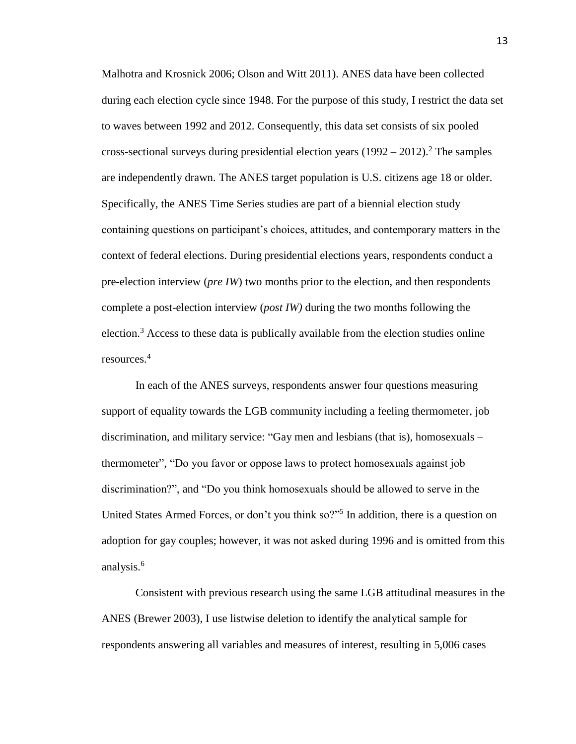Malhotra and Krosnick 2006; Olson and Witt 2011). ANES data have been collected during each election cycle since 1948. For the purpose of this study, I restrict the data set to waves between 1992 and 2012. Consequently, this data set consists of six pooled cross-sectional surveys during presidential election years  $(1992 - 2012)^2$ . The samples are independently drawn. The ANES target population is U.S. citizens age 18 or older. Specifically, the ANES Time Series studies are part of a biennial election study containing questions on participant's choices, attitudes, and contemporary matters in the context of federal elections. During presidential elections years, respondents conduct a pre-election interview (*pre IW*) two months prior to the election, and then respondents complete a post-election interview (*post IW)* during the two months following the election.<sup>3</sup> Access to these data is publically available from the election studies online resources.<sup>4</sup>

In each of the ANES surveys, respondents answer four questions measuring support of equality towards the LGB community including a feeling thermometer, job discrimination, and military service: "Gay men and lesbians (that is), homosexuals – thermometer", "Do you favor or oppose laws to protect homosexuals against job discrimination?", and "Do you think homosexuals should be allowed to serve in the United States Armed Forces, or don't you think so?"<sup>5</sup> In addition, there is a question on adoption for gay couples; however, it was not asked during 1996 and is omitted from this analysis.<sup>6</sup>

Consistent with previous research using the same LGB attitudinal measures in the ANES (Brewer 2003), I use listwise deletion to identify the analytical sample for respondents answering all variables and measures of interest, resulting in 5,006 cases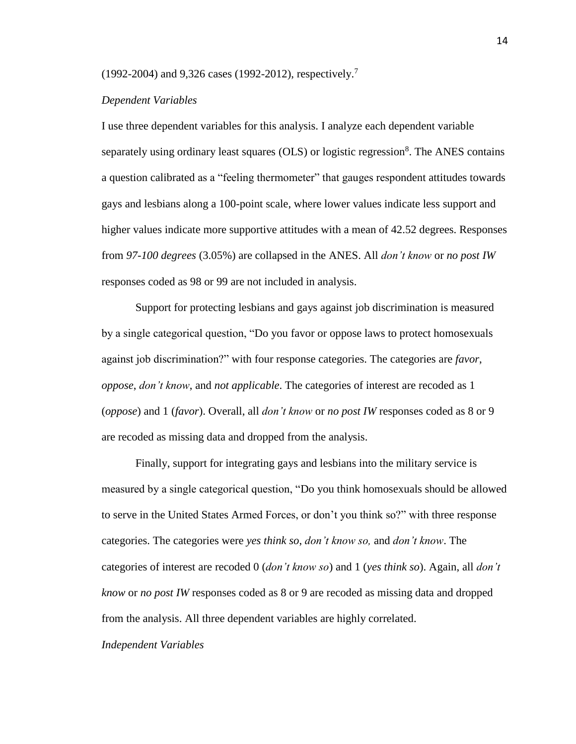(1992-2004) and 9,326 cases (1992-2012), respectively. 7

## *Dependent Variables*

I use three dependent variables for this analysis. I analyze each dependent variable separately using ordinary least squares  $(OLS)$  or logistic regression<sup>8</sup>. The ANES contains a question calibrated as a "feeling thermometer" that gauges respondent attitudes towards gays and lesbians along a 100-point scale, where lower values indicate less support and higher values indicate more supportive attitudes with a mean of 42.52 degrees. Responses from *97-100 degrees* (3.05%) are collapsed in the ANES. All *don't know* or *no post IW* responses coded as 98 or 99 are not included in analysis.

Support for protecting lesbians and gays against job discrimination is measured by a single categorical question, "Do you favor or oppose laws to protect homosexuals against job discrimination?" with four response categories. The categories are *favor*, *oppose*, *don't know*, and *not applicable*. The categories of interest are recoded as 1 (*oppose*) and 1 (*favor*). Overall, all *don't know* or *no post IW* responses coded as 8 or 9 are recoded as missing data and dropped from the analysis.

Finally, support for integrating gays and lesbians into the military service is measured by a single categorical question, "Do you think homosexuals should be allowed to serve in the United States Armed Forces, or don't you think so?" with three response categories. The categories were *yes think so*, *don't know so,* and *don't know*. The categories of interest are recoded 0 (*don't know so*) and 1 (*yes think so*). Again, all *don't know* or *no post IW* responses coded as 8 or 9 are recoded as missing data and dropped from the analysis. All three dependent variables are highly correlated.

*Independent Variables*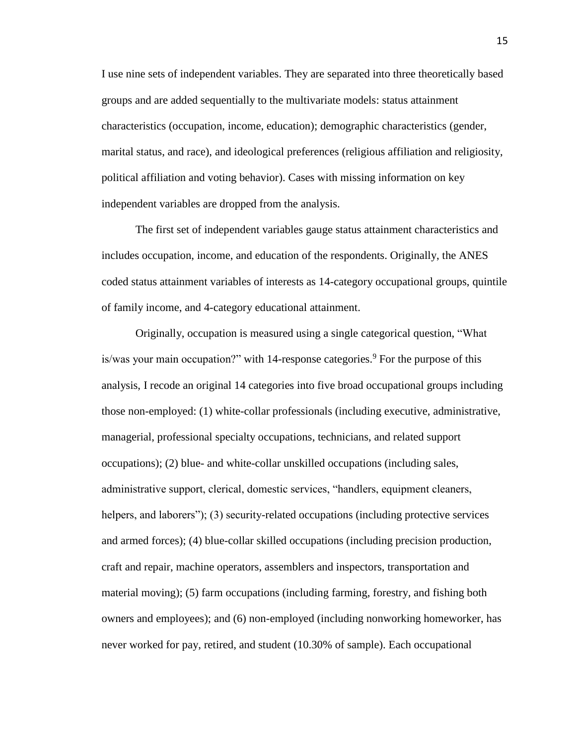I use nine sets of independent variables. They are separated into three theoretically based groups and are added sequentially to the multivariate models: status attainment characteristics (occupation, income, education); demographic characteristics (gender, marital status, and race), and ideological preferences (religious affiliation and religiosity, political affiliation and voting behavior). Cases with missing information on key independent variables are dropped from the analysis.

The first set of independent variables gauge status attainment characteristics and includes occupation, income, and education of the respondents. Originally, the ANES coded status attainment variables of interests as 14-category occupational groups, quintile of family income, and 4-category educational attainment.

Originally, occupation is measured using a single categorical question, "What is/was your main occupation?" with 14-response categories.<sup>9</sup> For the purpose of this analysis, I recode an original 14 categories into five broad occupational groups including those non-employed: (1) white-collar professionals (including executive, administrative, managerial, professional specialty occupations, technicians, and related support occupations); (2) blue- and white-collar unskilled occupations (including sales, administrative support, clerical, domestic services, "handlers, equipment cleaners, helpers, and laborers"); (3) security-related occupations (including protective services and armed forces); (4) blue-collar skilled occupations (including precision production, craft and repair, machine operators, assemblers and inspectors, transportation and material moving); (5) farm occupations (including farming, forestry, and fishing both owners and employees); and (6) non-employed (including nonworking homeworker, has never worked for pay, retired, and student (10.30% of sample). Each occupational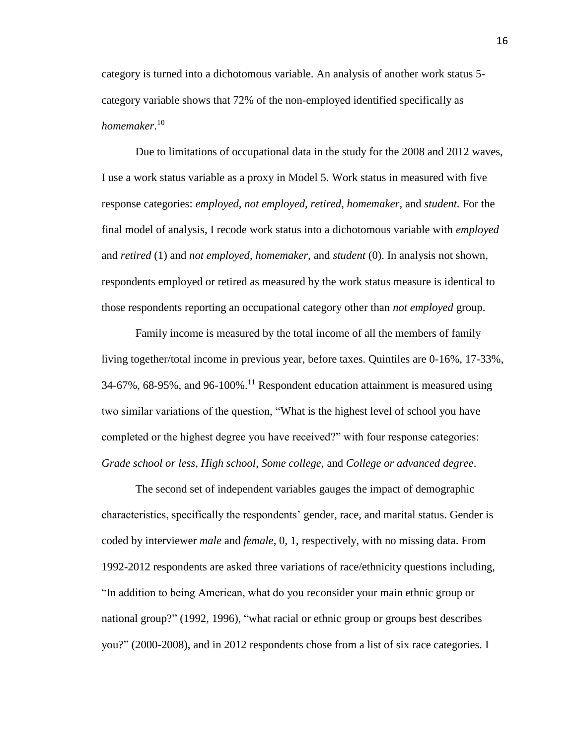category is turned into a dichotomous variable. An analysis of another work status 5 category variable shows that 72% of the non-employed identified specifically as *homemaker*. 10

Due to limitations of occupational data in the study for the 2008 and 2012 waves, I use a work status variable as a proxy in Model 5. Work status in measured with five response categories: *employed, not employed, retired, homemaker,* and *student.* For the final model of analysis, I recode work status into a dichotomous variable with *employed*  and *retired* (1) and *not employed*, *homemaker*, and *student* (0). In analysis not shown, respondents employed or retired as measured by the work status measure is identical to those respondents reporting an occupational category other than *not employed* group.

Family income is measured by the total income of all the members of family living together/total income in previous year, before taxes. Quintiles are 0-16%, 17-33%, 34-67%, 68-95%, and 96-100%.<sup>11</sup> Respondent education attainment is measured using two similar variations of the question, "What is the highest level of school you have completed or the highest degree you have received?" with four response categories: *Grade school or less*, *High school*, *Some college*, and *College or advanced degree*.

The second set of independent variables gauges the impact of demographic characteristics, specifically the respondents' gender, race, and marital status. Gender is coded by interviewer *male* and *female*, 0, 1, respectively, with no missing data. From 1992-2012 respondents are asked three variations of race/ethnicity questions including, "In addition to being American, what do you reconsider your main ethnic group or national group?" (1992, 1996), "what racial or ethnic group or groups best describes you?" (2000-2008), and in 2012 respondents chose from a list of six race categories. I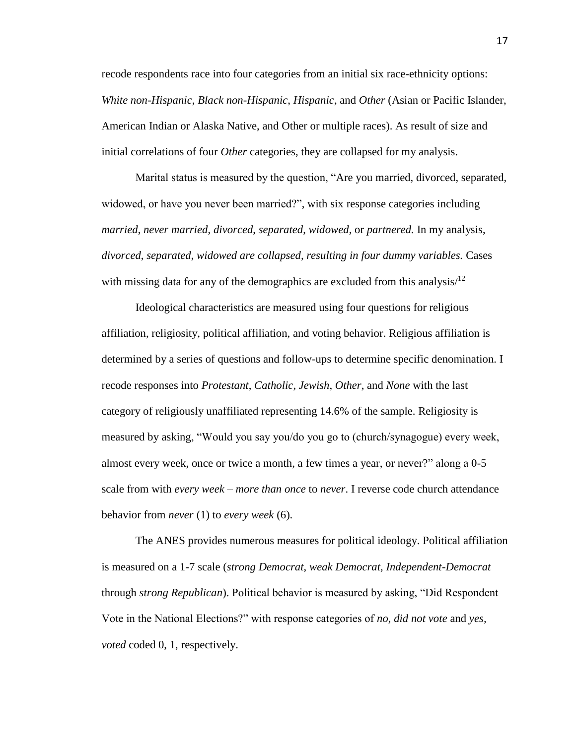recode respondents race into four categories from an initial six race-ethnicity options: *White non-Hispanic*, *Black non-Hispanic*, *Hispanic*, and *Other* (Asian or Pacific Islander, American Indian or Alaska Native, and Other or multiple races). As result of size and initial correlations of four *Other* categories, they are collapsed for my analysis.

Marital status is measured by the question, "Are you married, divorced, separated, widowed, or have you never been married?", with six response categories including *married*, *never married*, *divorced*, *separated*, *widowed,* or *partnered.* In my analysis, *divorced*, *separated*, *widowed are collapsed, resulting in four dummy variables.* Cases with missing data for any of the demographics are excluded from this analysis $/12$ 

Ideological characteristics are measured using four questions for religious affiliation, religiosity, political affiliation, and voting behavior. Religious affiliation is determined by a series of questions and follow-ups to determine specific denomination. I recode responses into *Protestant*, *Catholic*, *Jewish*, *Other*, and *None* with the last category of religiously unaffiliated representing 14.6% of the sample. Religiosity is measured by asking, "Would you say you/do you go to (church/synagogue) every week, almost every week, once or twice a month, a few times a year, or never?" along a 0-5 scale from with *every week – more than once* to *never*. I reverse code church attendance behavior from *never* (1) to *every week* (6).

The ANES provides numerous measures for political ideology. Political affiliation is measured on a 1-7 scale (*strong Democrat*, *weak Democrat, Independent-Democrat* through *strong Republican*). Political behavior is measured by asking, "Did Respondent Vote in the National Elections?" with response categories of *no, did not vote* and *yes, voted* coded 0, 1, respectively.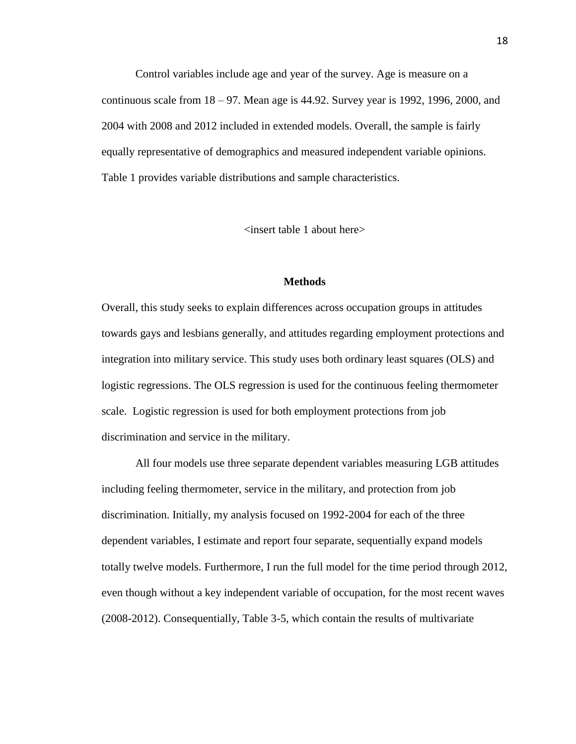Control variables include age and year of the survey. Age is measure on a continuous scale from  $18 - 97$ . Mean age is 44.92. Survey year is 1992, 1996, 2000, and 2004 with 2008 and 2012 included in extended models. Overall, the sample is fairly equally representative of demographics and measured independent variable opinions. Table 1 provides variable distributions and sample characteristics.

<insert table 1 about here>

## **Methods**

Overall, this study seeks to explain differences across occupation groups in attitudes towards gays and lesbians generally, and attitudes regarding employment protections and integration into military service. This study uses both ordinary least squares (OLS) and logistic regressions. The OLS regression is used for the continuous feeling thermometer scale. Logistic regression is used for both employment protections from job discrimination and service in the military.

All four models use three separate dependent variables measuring LGB attitudes including feeling thermometer, service in the military, and protection from job discrimination. Initially, my analysis focused on 1992-2004 for each of the three dependent variables, I estimate and report four separate, sequentially expand models totally twelve models. Furthermore, I run the full model for the time period through 2012, even though without a key independent variable of occupation, for the most recent waves (2008-2012). Consequentially, Table 3-5, which contain the results of multivariate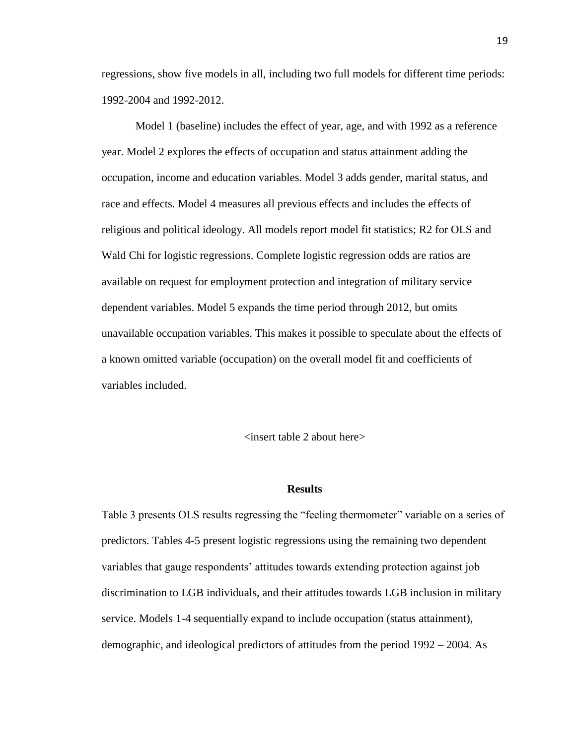regressions, show five models in all, including two full models for different time periods: 1992-2004 and 1992-2012.

Model 1 (baseline) includes the effect of year, age, and with 1992 as a reference year. Model 2 explores the effects of occupation and status attainment adding the occupation, income and education variables. Model 3 adds gender, marital status, and race and effects. Model 4 measures all previous effects and includes the effects of religious and political ideology. All models report model fit statistics; R2 for OLS and Wald Chi for logistic regressions. Complete logistic regression odds are ratios are available on request for employment protection and integration of military service dependent variables. Model 5 expands the time period through 2012, but omits unavailable occupation variables. This makes it possible to speculate about the effects of a known omitted variable (occupation) on the overall model fit and coefficients of variables included.

## $\langle$  insert table 2 about here $>$

#### **Results**

Table 3 presents OLS results regressing the "feeling thermometer" variable on a series of predictors. Tables 4-5 present logistic regressions using the remaining two dependent variables that gauge respondents' attitudes towards extending protection against job discrimination to LGB individuals, and their attitudes towards LGB inclusion in military service. Models 1-4 sequentially expand to include occupation (status attainment), demographic, and ideological predictors of attitudes from the period 1992 – 2004. As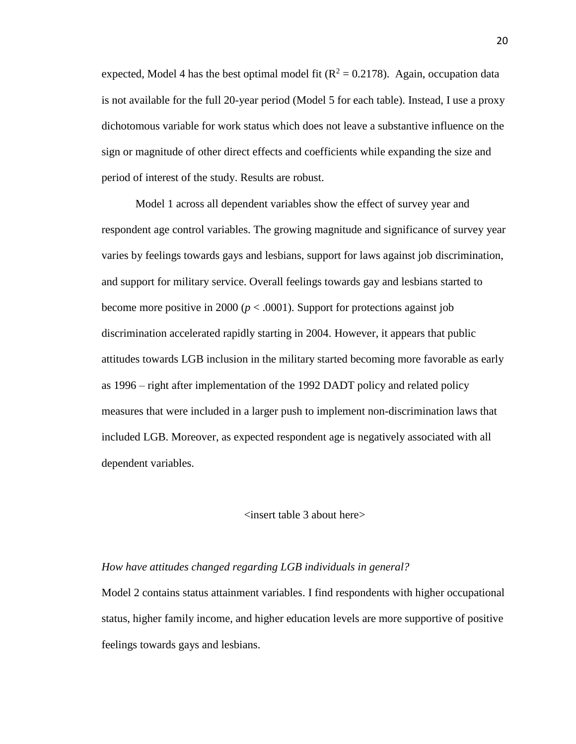expected, Model 4 has the best optimal model fit  $(R^2 = 0.2178)$ . Again, occupation data is not available for the full 20-year period (Model 5 for each table). Instead, I use a proxy dichotomous variable for work status which does not leave a substantive influence on the sign or magnitude of other direct effects and coefficients while expanding the size and period of interest of the study. Results are robust.

Model 1 across all dependent variables show the effect of survey year and respondent age control variables. The growing magnitude and significance of survey year varies by feelings towards gays and lesbians, support for laws against job discrimination, and support for military service. Overall feelings towards gay and lesbians started to become more positive in 2000 ( $p < .0001$ ). Support for protections against job discrimination accelerated rapidly starting in 2004. However, it appears that public attitudes towards LGB inclusion in the military started becoming more favorable as early as 1996 – right after implementation of the 1992 DADT policy and related policy measures that were included in a larger push to implement non-discrimination laws that included LGB. Moreover, as expected respondent age is negatively associated with all dependent variables.

## <insert table 3 about here>

### *How have attitudes changed regarding LGB individuals in general?*

Model 2 contains status attainment variables. I find respondents with higher occupational status, higher family income, and higher education levels are more supportive of positive feelings towards gays and lesbians.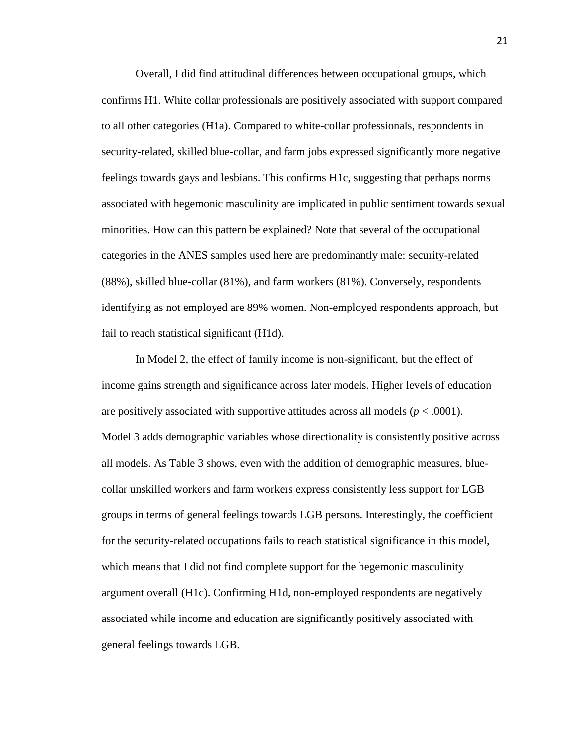Overall, I did find attitudinal differences between occupational groups, which confirms H1. White collar professionals are positively associated with support compared to all other categories (H1a). Compared to white-collar professionals, respondents in security-related, skilled blue-collar, and farm jobs expressed significantly more negative feelings towards gays and lesbians. This confirms H1c, suggesting that perhaps norms associated with hegemonic masculinity are implicated in public sentiment towards sexual minorities. How can this pattern be explained? Note that several of the occupational categories in the ANES samples used here are predominantly male: security-related (88%), skilled blue-collar (81%), and farm workers (81%). Conversely, respondents identifying as not employed are 89% women. Non-employed respondents approach, but fail to reach statistical significant (H1d).

In Model 2, the effect of family income is non-significant, but the effect of income gains strength and significance across later models. Higher levels of education are positively associated with supportive attitudes across all models  $(p < .0001)$ . Model 3 adds demographic variables whose directionality is consistently positive across all models. As Table 3 shows, even with the addition of demographic measures, bluecollar unskilled workers and farm workers express consistently less support for LGB groups in terms of general feelings towards LGB persons. Interestingly, the coefficient for the security-related occupations fails to reach statistical significance in this model, which means that I did not find complete support for the hegemonic masculinity argument overall (H1c). Confirming H1d, non-employed respondents are negatively associated while income and education are significantly positively associated with general feelings towards LGB.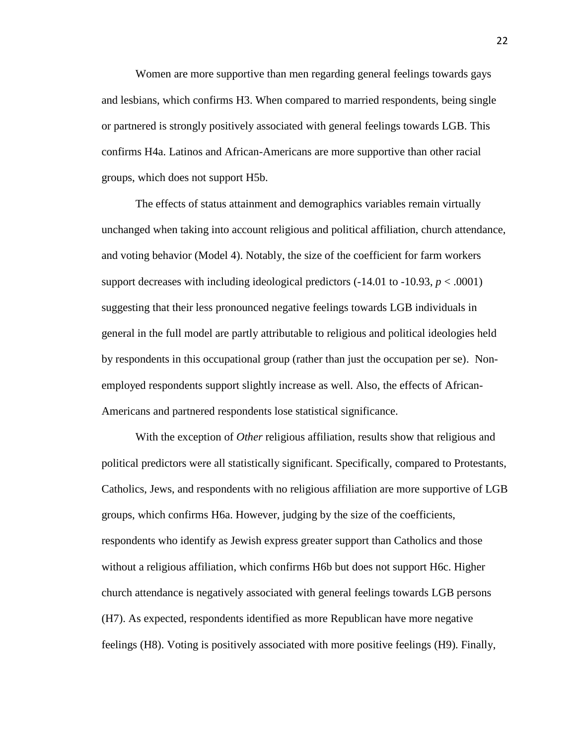Women are more supportive than men regarding general feelings towards gays and lesbians, which confirms H3. When compared to married respondents, being single or partnered is strongly positively associated with general feelings towards LGB. This confirms H4a. Latinos and African-Americans are more supportive than other racial groups, which does not support H5b.

The effects of status attainment and demographics variables remain virtually unchanged when taking into account religious and political affiliation, church attendance, and voting behavior (Model 4). Notably, the size of the coefficient for farm workers support decreases with including ideological predictors  $(-14.01 \text{ to } -10.93, p < .0001)$ suggesting that their less pronounced negative feelings towards LGB individuals in general in the full model are partly attributable to religious and political ideologies held by respondents in this occupational group (rather than just the occupation per se). Nonemployed respondents support slightly increase as well. Also, the effects of African-Americans and partnered respondents lose statistical significance.

With the exception of *Other* religious affiliation, results show that religious and political predictors were all statistically significant. Specifically, compared to Protestants, Catholics, Jews, and respondents with no religious affiliation are more supportive of LGB groups, which confirms H6a. However, judging by the size of the coefficients, respondents who identify as Jewish express greater support than Catholics and those without a religious affiliation, which confirms H6b but does not support H6c. Higher church attendance is negatively associated with general feelings towards LGB persons (H7). As expected, respondents identified as more Republican have more negative feelings (H8). Voting is positively associated with more positive feelings (H9). Finally,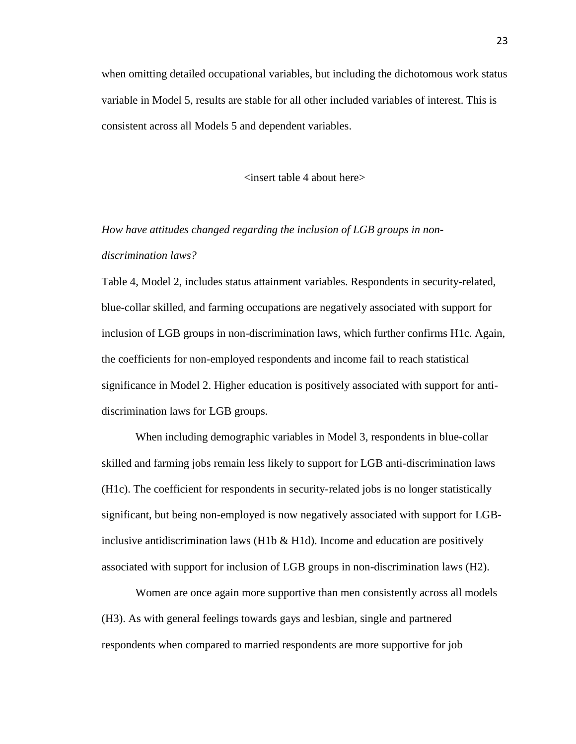when omitting detailed occupational variables, but including the dichotomous work status variable in Model 5, results are stable for all other included variables of interest. This is consistent across all Models 5 and dependent variables.

<insert table 4 about here>

*How have attitudes changed regarding the inclusion of LGB groups in nondiscrimination laws?*

Table 4, Model 2, includes status attainment variables. Respondents in security-related, blue-collar skilled, and farming occupations are negatively associated with support for inclusion of LGB groups in non-discrimination laws, which further confirms H1c. Again, the coefficients for non-employed respondents and income fail to reach statistical significance in Model 2. Higher education is positively associated with support for antidiscrimination laws for LGB groups.

When including demographic variables in Model 3, respondents in blue-collar skilled and farming jobs remain less likely to support for LGB anti-discrimination laws (H1c). The coefficient for respondents in security-related jobs is no longer statistically significant, but being non-employed is now negatively associated with support for LGBinclusive antidiscrimination laws  $(H1b \& H1d)$ . Income and education are positively associated with support for inclusion of LGB groups in non-discrimination laws (H2).

Women are once again more supportive than men consistently across all models (H3). As with general feelings towards gays and lesbian, single and partnered respondents when compared to married respondents are more supportive for job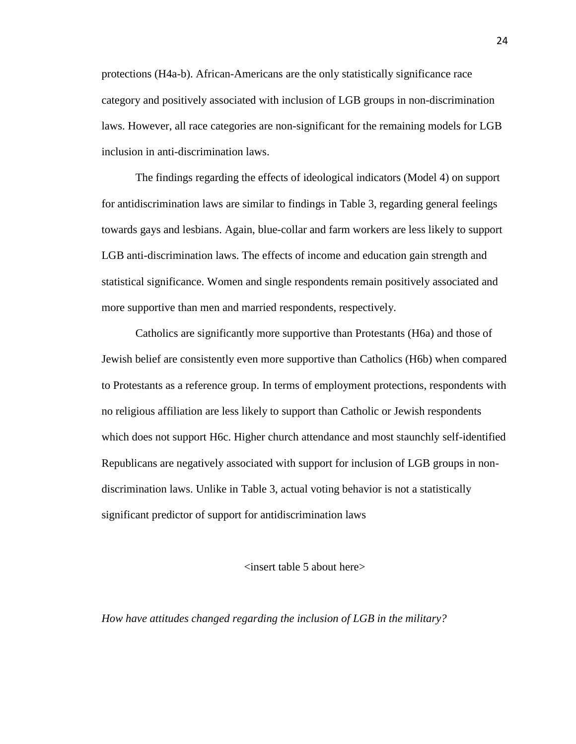protections (H4a-b). African-Americans are the only statistically significance race category and positively associated with inclusion of LGB groups in non-discrimination laws. However, all race categories are non-significant for the remaining models for LGB inclusion in anti-discrimination laws.

The findings regarding the effects of ideological indicators (Model 4) on support for antidiscrimination laws are similar to findings in Table 3, regarding general feelings towards gays and lesbians. Again, blue-collar and farm workers are less likely to support LGB anti-discrimination laws. The effects of income and education gain strength and statistical significance. Women and single respondents remain positively associated and more supportive than men and married respondents, respectively.

Catholics are significantly more supportive than Protestants (H6a) and those of Jewish belief are consistently even more supportive than Catholics (H6b) when compared to Protestants as a reference group. In terms of employment protections, respondents with no religious affiliation are less likely to support than Catholic or Jewish respondents which does not support H6c. Higher church attendance and most staunchly self-identified Republicans are negatively associated with support for inclusion of LGB groups in nondiscrimination laws. Unlike in Table 3, actual voting behavior is not a statistically significant predictor of support for antidiscrimination laws

## <insert table 5 about here>

*How have attitudes changed regarding the inclusion of LGB in the military?*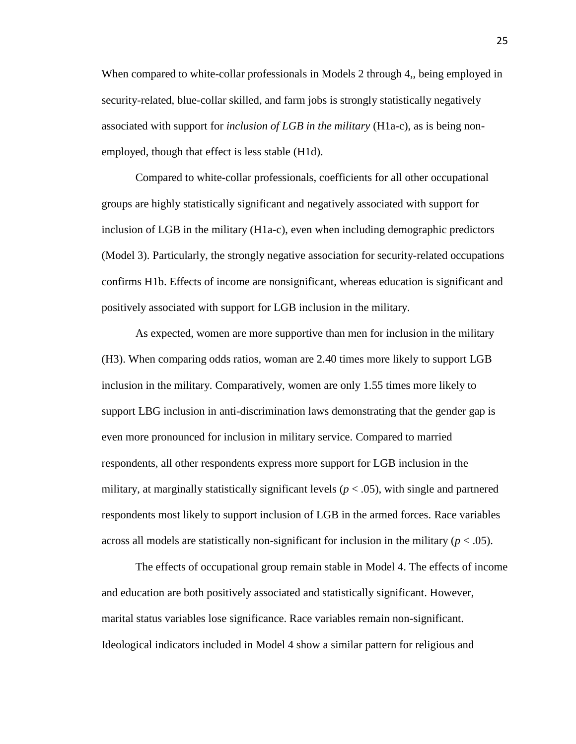When compared to white-collar professionals in Models 2 through 4,, being employed in security-related, blue-collar skilled, and farm jobs is strongly statistically negatively associated with support for *inclusion of LGB in the military* (H1a-c), as is being nonemployed, though that effect is less stable (H1d).

Compared to white-collar professionals, coefficients for all other occupational groups are highly statistically significant and negatively associated with support for inclusion of LGB in the military (H1a-c), even when including demographic predictors (Model 3). Particularly, the strongly negative association for security-related occupations confirms H1b. Effects of income are nonsignificant, whereas education is significant and positively associated with support for LGB inclusion in the military.

As expected, women are more supportive than men for inclusion in the military (H3). When comparing odds ratios, woman are 2.40 times more likely to support LGB inclusion in the military. Comparatively, women are only 1.55 times more likely to support LBG inclusion in anti-discrimination laws demonstrating that the gender gap is even more pronounced for inclusion in military service. Compared to married respondents, all other respondents express more support for LGB inclusion in the military, at marginally statistically significant levels ( $p < .05$ ), with single and partnered respondents most likely to support inclusion of LGB in the armed forces. Race variables across all models are statistically non-significant for inclusion in the military  $(p < .05)$ .

The effects of occupational group remain stable in Model 4. The effects of income and education are both positively associated and statistically significant. However, marital status variables lose significance. Race variables remain non-significant. Ideological indicators included in Model 4 show a similar pattern for religious and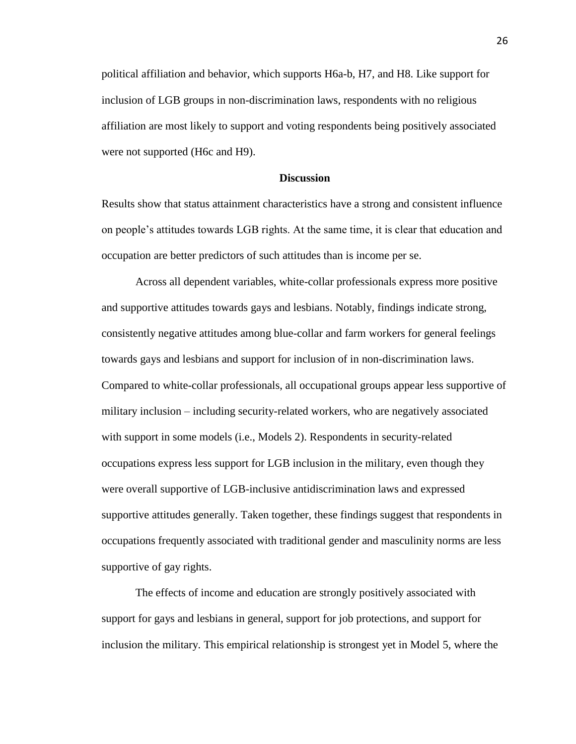political affiliation and behavior, which supports H6a-b, H7, and H8. Like support for inclusion of LGB groups in non-discrimination laws, respondents with no religious affiliation are most likely to support and voting respondents being positively associated were not supported (H6c and H9).

## **Discussion**

Results show that status attainment characteristics have a strong and consistent influence on people's attitudes towards LGB rights. At the same time, it is clear that education and occupation are better predictors of such attitudes than is income per se.

Across all dependent variables, white-collar professionals express more positive and supportive attitudes towards gays and lesbians. Notably, findings indicate strong, consistently negative attitudes among blue-collar and farm workers for general feelings towards gays and lesbians and support for inclusion of in non-discrimination laws. Compared to white-collar professionals, all occupational groups appear less supportive of military inclusion – including security-related workers, who are negatively associated with support in some models (i.e., Models 2). Respondents in security-related occupations express less support for LGB inclusion in the military, even though they were overall supportive of LGB-inclusive antidiscrimination laws and expressed supportive attitudes generally. Taken together, these findings suggest that respondents in occupations frequently associated with traditional gender and masculinity norms are less supportive of gay rights.

The effects of income and education are strongly positively associated with support for gays and lesbians in general, support for job protections, and support for inclusion the military. This empirical relationship is strongest yet in Model 5, where the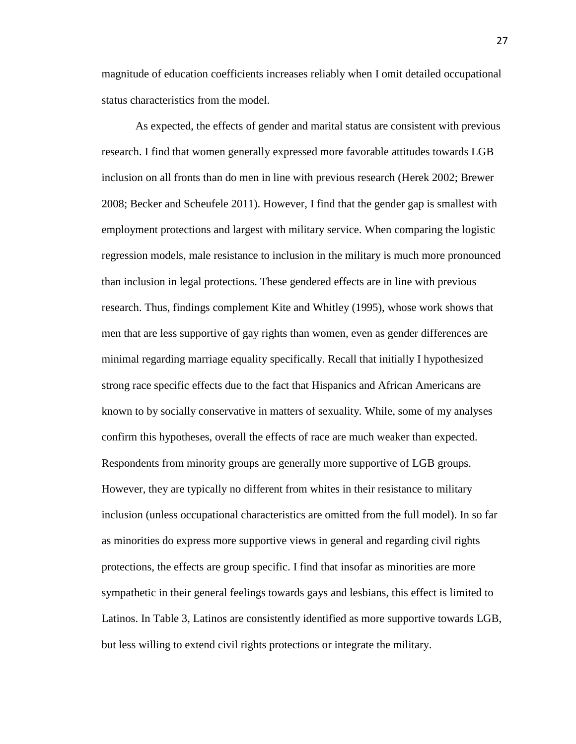magnitude of education coefficients increases reliably when I omit detailed occupational status characteristics from the model.

As expected, the effects of gender and marital status are consistent with previous research. I find that women generally expressed more favorable attitudes towards LGB inclusion on all fronts than do men in line with previous research (Herek 2002; Brewer 2008; Becker and Scheufele 2011). However, I find that the gender gap is smallest with employment protections and largest with military service. When comparing the logistic regression models, male resistance to inclusion in the military is much more pronounced than inclusion in legal protections. These gendered effects are in line with previous research. Thus, findings complement Kite and Whitley (1995), whose work shows that men that are less supportive of gay rights than women, even as gender differences are minimal regarding marriage equality specifically. Recall that initially I hypothesized strong race specific effects due to the fact that Hispanics and African Americans are known to by socially conservative in matters of sexuality. While, some of my analyses confirm this hypotheses, overall the effects of race are much weaker than expected. Respondents from minority groups are generally more supportive of LGB groups. However, they are typically no different from whites in their resistance to military inclusion (unless occupational characteristics are omitted from the full model). In so far as minorities do express more supportive views in general and regarding civil rights protections, the effects are group specific. I find that insofar as minorities are more sympathetic in their general feelings towards gays and lesbians, this effect is limited to Latinos. In Table 3, Latinos are consistently identified as more supportive towards LGB, but less willing to extend civil rights protections or integrate the military.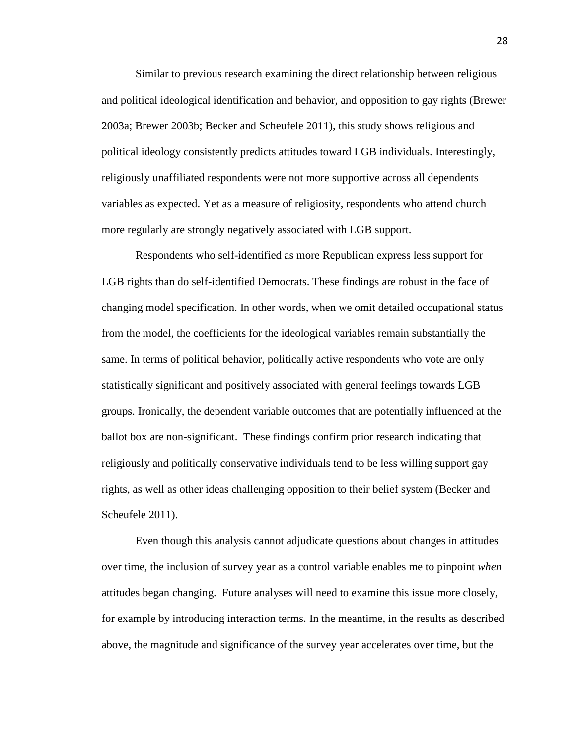Similar to previous research examining the direct relationship between religious and political ideological identification and behavior, and opposition to gay rights (Brewer 2003a; Brewer 2003b; Becker and Scheufele 2011), this study shows religious and political ideology consistently predicts attitudes toward LGB individuals. Interestingly, religiously unaffiliated respondents were not more supportive across all dependents variables as expected. Yet as a measure of religiosity, respondents who attend church more regularly are strongly negatively associated with LGB support.

Respondents who self-identified as more Republican express less support for LGB rights than do self-identified Democrats. These findings are robust in the face of changing model specification. In other words, when we omit detailed occupational status from the model, the coefficients for the ideological variables remain substantially the same. In terms of political behavior, politically active respondents who vote are only statistically significant and positively associated with general feelings towards LGB groups. Ironically, the dependent variable outcomes that are potentially influenced at the ballot box are non-significant. These findings confirm prior research indicating that religiously and politically conservative individuals tend to be less willing support gay rights, as well as other ideas challenging opposition to their belief system (Becker and Scheufele 2011).

Even though this analysis cannot adjudicate questions about changes in attitudes over time, the inclusion of survey year as a control variable enables me to pinpoint *when*  attitudes began changing. Future analyses will need to examine this issue more closely, for example by introducing interaction terms. In the meantime, in the results as described above, the magnitude and significance of the survey year accelerates over time, but the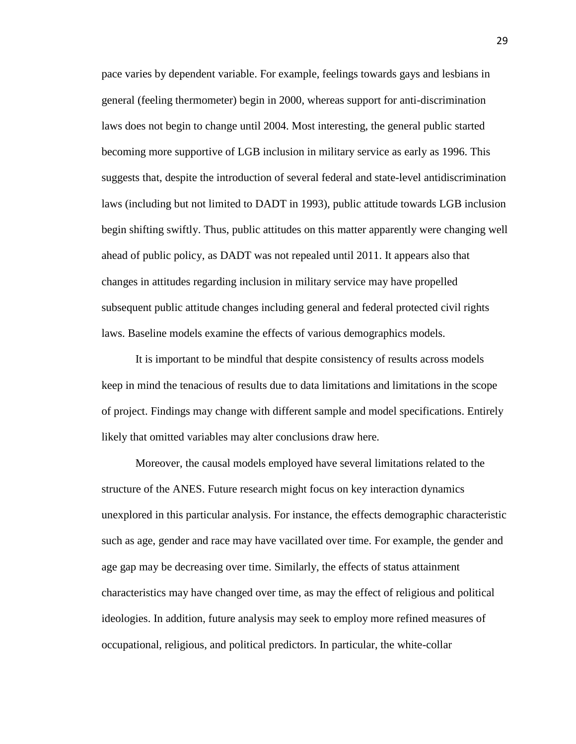pace varies by dependent variable. For example, feelings towards gays and lesbians in general (feeling thermometer) begin in 2000, whereas support for anti-discrimination laws does not begin to change until 2004. Most interesting, the general public started becoming more supportive of LGB inclusion in military service as early as 1996. This suggests that, despite the introduction of several federal and state-level antidiscrimination laws (including but not limited to DADT in 1993), public attitude towards LGB inclusion begin shifting swiftly. Thus, public attitudes on this matter apparently were changing well ahead of public policy, as DADT was not repealed until 2011. It appears also that changes in attitudes regarding inclusion in military service may have propelled subsequent public attitude changes including general and federal protected civil rights laws. Baseline models examine the effects of various demographics models.

It is important to be mindful that despite consistency of results across models keep in mind the tenacious of results due to data limitations and limitations in the scope of project. Findings may change with different sample and model specifications. Entirely likely that omitted variables may alter conclusions draw here.

Moreover, the causal models employed have several limitations related to the structure of the ANES. Future research might focus on key interaction dynamics unexplored in this particular analysis. For instance, the effects demographic characteristic such as age, gender and race may have vacillated over time. For example, the gender and age gap may be decreasing over time. Similarly, the effects of status attainment characteristics may have changed over time, as may the effect of religious and political ideologies. In addition, future analysis may seek to employ more refined measures of occupational, religious, and political predictors. In particular, the white-collar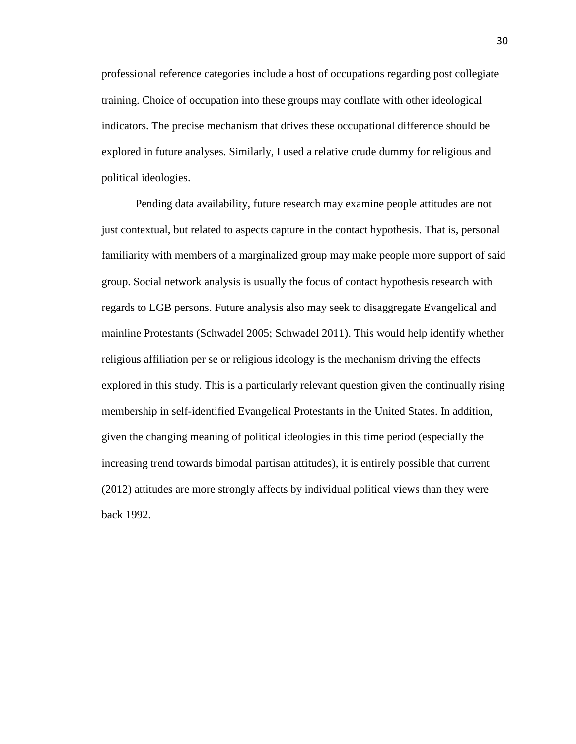professional reference categories include a host of occupations regarding post collegiate training. Choice of occupation into these groups may conflate with other ideological indicators. The precise mechanism that drives these occupational difference should be explored in future analyses. Similarly, I used a relative crude dummy for religious and political ideologies.

Pending data availability, future research may examine people attitudes are not just contextual, but related to aspects capture in the contact hypothesis. That is, personal familiarity with members of a marginalized group may make people more support of said group. Social network analysis is usually the focus of contact hypothesis research with regards to LGB persons. Future analysis also may seek to disaggregate Evangelical and mainline Protestants (Schwadel 2005; Schwadel 2011). This would help identify whether religious affiliation per se or religious ideology is the mechanism driving the effects explored in this study. This is a particularly relevant question given the continually rising membership in self-identified Evangelical Protestants in the United States. In addition, given the changing meaning of political ideologies in this time period (especially the increasing trend towards bimodal partisan attitudes), it is entirely possible that current (2012) attitudes are more strongly affects by individual political views than they were back 1992.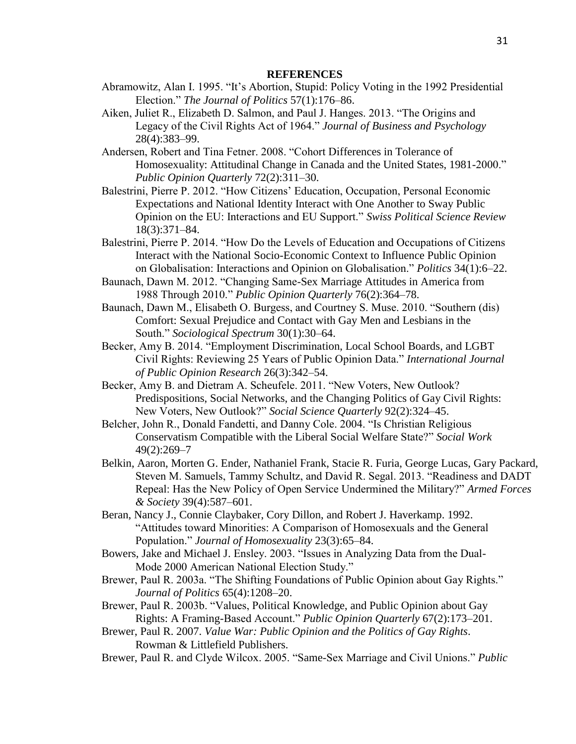- Abramowitz, Alan I. 1995. "It's Abortion, Stupid: Policy Voting in the 1992 Presidential Election." *The Journal of Politics* 57(1):176–86.
- Aiken, Juliet R., Elizabeth D. Salmon, and Paul J. Hanges. 2013. "The Origins and Legacy of the Civil Rights Act of 1964." *Journal of Business and Psychology* 28(4):383–99.
- Andersen, Robert and Tina Fetner. 2008. "Cohort Differences in Tolerance of Homosexuality: Attitudinal Change in Canada and the United States, 1981-2000." *Public Opinion Quarterly* 72(2):311–30.
- Balestrini, Pierre P. 2012. "How Citizens' Education, Occupation, Personal Economic Expectations and National Identity Interact with One Another to Sway Public Opinion on the EU: Interactions and EU Support." *Swiss Political Science Review* 18(3):371–84.
- Balestrini, Pierre P. 2014. "How Do the Levels of Education and Occupations of Citizens Interact with the National Socio-Economic Context to Influence Public Opinion on Globalisation: Interactions and Opinion on Globalisation." *Politics* 34(1):6–22.
- Baunach, Dawn M. 2012. "Changing Same-Sex Marriage Attitudes in America from 1988 Through 2010." *Public Opinion Quarterly* 76(2):364–78.
- Baunach, Dawn M., Elisabeth O. Burgess, and Courtney S. Muse. 2010. "Southern (dis) Comfort: Sexual Prejudice and Contact with Gay Men and Lesbians in the South." *Sociological Spectrum* 30(1):30–64.
- Becker, Amy B. 2014. "Employment Discrimination, Local School Boards, and LGBT Civil Rights: Reviewing 25 Years of Public Opinion Data." *International Journal of Public Opinion Research* 26(3):342–54.
- Becker, Amy B. and Dietram A. Scheufele. 2011. "New Voters, New Outlook? Predispositions, Social Networks, and the Changing Politics of Gay Civil Rights: New Voters, New Outlook?" *Social Science Quarterly* 92(2):324–45.
- Belcher, John R., Donald Fandetti, and Danny Cole. 2004. "Is Christian Religious Conservatism Compatible with the Liberal Social Welfare State?" *Social Work* 49(2):269–7
- Belkin, Aaron, Morten G. Ender, Nathaniel Frank, Stacie R. Furia, George Lucas, Gary Packard, Steven M. Samuels, Tammy Schultz, and David R. Segal. 2013. "Readiness and DADT Repeal: Has the New Policy of Open Service Undermined the Military?" *Armed Forces & Society* 39(4):587–601.
- Beran, Nancy J., Connie Claybaker, Cory Dillon, and Robert J. Haverkamp. 1992. "Attitudes toward Minorities: A Comparison of Homosexuals and the General Population." *Journal of Homosexuality* 23(3):65–84.
- Bowers, Jake and Michael J. Ensley. 2003. "Issues in Analyzing Data from the Dual-Mode 2000 American National Election Study."
- Brewer, Paul R. 2003a. "The Shifting Foundations of Public Opinion about Gay Rights." *Journal of Politics* 65(4):1208–20.
- Brewer, Paul R. 2003b. "Values, Political Knowledge, and Public Opinion about Gay Rights: A Framing-Based Account." *Public Opinion Quarterly* 67(2):173–201.
- Brewer, Paul R. 2007. *Value War: Public Opinion and the Politics of Gay Rights*. Rowman & Littlefield Publishers.
- Brewer, Paul R. and Clyde Wilcox. 2005. "Same-Sex Marriage and Civil Unions." *Public*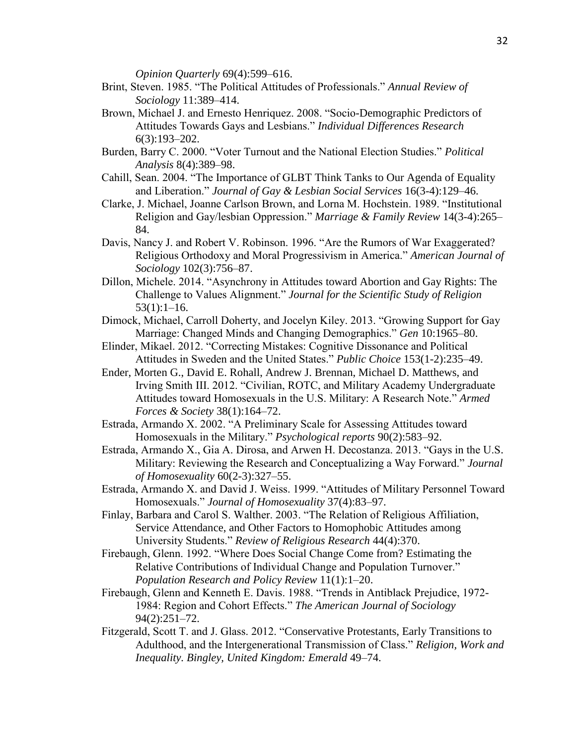*Opinion Quarterly* 69(4):599–616.

- Brint, Steven. 1985. "The Political Attitudes of Professionals." *Annual Review of Sociology* 11:389–414.
- Brown, Michael J. and Ernesto Henriquez. 2008. "Socio-Demographic Predictors of Attitudes Towards Gays and Lesbians." *Individual Differences Research* 6(3):193–202.
- Burden, Barry C. 2000. "Voter Turnout and the National Election Studies." *Political Analysis* 8(4):389–98.
- Cahill, Sean. 2004. "The Importance of GLBT Think Tanks to Our Agenda of Equality and Liberation." *Journal of Gay & Lesbian Social Services* 16(3-4):129–46.
- Clarke, J. Michael, Joanne Carlson Brown, and Lorna M. Hochstein. 1989. "Institutional Religion and Gay/lesbian Oppression." *Marriage & Family Review* 14(3-4):265– 84.
- Davis, Nancy J. and Robert V. Robinson. 1996. "Are the Rumors of War Exaggerated? Religious Orthodoxy and Moral Progressivism in America." *American Journal of Sociology* 102(3):756–87.
- Dillon, Michele. 2014. "Asynchrony in Attitudes toward Abortion and Gay Rights: The Challenge to Values Alignment." *Journal for the Scientific Study of Religion*  $53(1):1-16.$
- Dimock, Michael, Carroll Doherty, and Jocelyn Kiley. 2013. "Growing Support for Gay Marriage: Changed Minds and Changing Demographics." *Gen* 10:1965–80.
- Elinder, Mikael. 2012. "Correcting Mistakes: Cognitive Dissonance and Political Attitudes in Sweden and the United States." *Public Choice* 153(1-2):235–49.
- Ender, Morten G., David E. Rohall, Andrew J. Brennan, Michael D. Matthews, and Irving Smith III. 2012. "Civilian, ROTC, and Military Academy Undergraduate Attitudes toward Homosexuals in the U.S. Military: A Research Note." *Armed Forces & Society* 38(1):164–72.
- Estrada, Armando X. 2002. "A Preliminary Scale for Assessing Attitudes toward Homosexuals in the Military." *Psychological reports* 90(2):583–92.
- Estrada, Armando X., Gia A. Dirosa, and Arwen H. Decostanza. 2013. "Gays in the U.S. Military: Reviewing the Research and Conceptualizing a Way Forward." *Journal of Homosexuality* 60(2-3):327–55.
- Estrada, Armando X. and David J. Weiss. 1999. "Attitudes of Military Personnel Toward Homosexuals." *Journal of Homosexuality* 37(4):83–97.
- Finlay, Barbara and Carol S. Walther. 2003. "The Relation of Religious Affiliation, Service Attendance, and Other Factors to Homophobic Attitudes among University Students." *Review of Religious Research* 44(4):370.
- Firebaugh, Glenn. 1992. "Where Does Social Change Come from? Estimating the Relative Contributions of Individual Change and Population Turnover." *Population Research and Policy Review* 11(1):1–20.
- Firebaugh, Glenn and Kenneth E. Davis. 1988. "Trends in Antiblack Prejudice, 1972- 1984: Region and Cohort Effects." *The American Journal of Sociology* 94(2):251–72.
- Fitzgerald, Scott T. and J. Glass. 2012. "Conservative Protestants, Early Transitions to Adulthood, and the Intergenerational Transmission of Class." *Religion, Work and Inequality. Bingley, United Kingdom: Emerald* 49–74.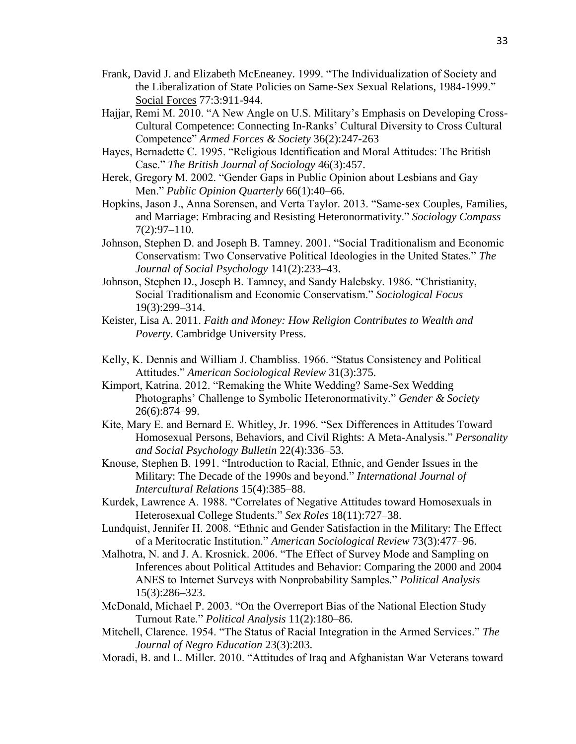- Frank, David J. and Elizabeth McEneaney. 1999. "The Individualization of Society and the Liberalization of State Policies on Same-Sex Sexual Relations, 1984-1999." Social Forces 77:3:911-944.
- Hajjar, Remi M. 2010. "A New Angle on U.S. Military's Emphasis on Developing Cross-Cultural Competence: Connecting In-Ranks' Cultural Diversity to Cross Cultural Competence" *Armed Forces & Society* 36(2):247-263
- Hayes, Bernadette C. 1995. "Religious Identification and Moral Attitudes: The British Case." *The British Journal of Sociology* 46(3):457.
- Herek, Gregory M. 2002. "Gender Gaps in Public Opinion about Lesbians and Gay Men." *Public Opinion Quarterly* 66(1):40–66.
- Hopkins, Jason J., Anna Sorensen, and Verta Taylor. 2013. "Same‐sex Couples, Families, and Marriage: Embracing and Resisting Heteronormativity." *Sociology Compass* 7(2):97–110.
- Johnson, Stephen D. and Joseph B. Tamney. 2001. "Social Traditionalism and Economic Conservatism: Two Conservative Political Ideologies in the United States." *The Journal of Social Psychology* 141(2):233–43.
- Johnson, Stephen D., Joseph B. Tamney, and Sandy Halebsky. 1986. "Christianity, Social Traditionalism and Economic Conservatism." *Sociological Focus* 19(3):299–314.
- Keister, Lisa A. 2011. *Faith and Money: How Religion Contributes to Wealth and Poverty*. Cambridge University Press.
- Kelly, K. Dennis and William J. Chambliss. 1966. "Status Consistency and Political Attitudes." *American Sociological Review* 31(3):375.
- Kimport, Katrina. 2012. "Remaking the White Wedding? Same-Sex Wedding Photographs' Challenge to Symbolic Heteronormativity." *Gender & Society* 26(6):874–99.
- Kite, Mary E. and Bernard E. Whitley, Jr. 1996. "Sex Differences in Attitudes Toward Homosexual Persons, Behaviors, and Civil Rights: A Meta-Analysis." *Personality and Social Psychology Bulletin* 22(4):336–53.
- Knouse, Stephen B. 1991. "Introduction to Racial, Ethnic, and Gender Issues in the Military: The Decade of the 1990s and beyond." *International Journal of Intercultural Relations* 15(4):385–88.
- Kurdek, Lawrence A. 1988. "Correlates of Negative Attitudes toward Homosexuals in Heterosexual College Students." *Sex Roles* 18(11):727–38.
- Lundquist, Jennifer H. 2008. "Ethnic and Gender Satisfaction in the Military: The Effect of a Meritocratic Institution." *American Sociological Review* 73(3):477–96.
- Malhotra, N. and J. A. Krosnick. 2006. "The Effect of Survey Mode and Sampling on Inferences about Political Attitudes and Behavior: Comparing the 2000 and 2004 ANES to Internet Surveys with Nonprobability Samples." *Political Analysis* 15(3):286–323.
- McDonald, Michael P. 2003. "On the Overreport Bias of the National Election Study Turnout Rate." *Political Analysis* 11(2):180–86.
- Mitchell, Clarence. 1954. "The Status of Racial Integration in the Armed Services." *The Journal of Negro Education* 23(3):203.
- Moradi, B. and L. Miller. 2010. "Attitudes of Iraq and Afghanistan War Veterans toward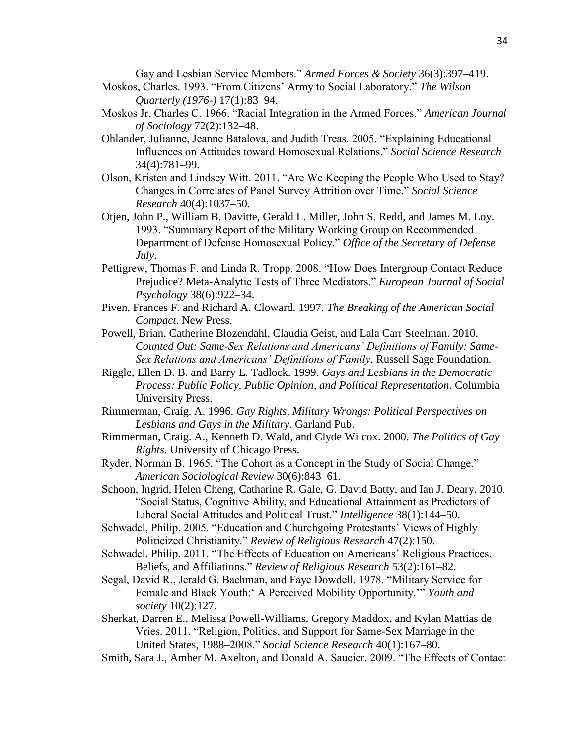Gay and Lesbian Service Members." *Armed Forces & Society* 36(3):397–419.

- Moskos, Charles. 1993. "From Citizens' Army to Social Laboratory." *The Wilson Quarterly (1976-)* 17(1):83–94.
- Moskos Jr, Charles C. 1966. "Racial Integration in the Armed Forces." *American Journal of Sociology* 72(2):132–48.
- Ohlander, Julianne, Jeanne Batalova, and Judith Treas. 2005. "Explaining Educational Influences on Attitudes toward Homosexual Relations." *Social Science Research* 34(4):781–99.
- Olson, Kristen and Lindsey Witt. 2011. "Are We Keeping the People Who Used to Stay? Changes in Correlates of Panel Survey Attrition over Time." *Social Science Research* 40(4):1037–50.
- Otjen, John P., William B. Davitte, Gerald L. Miller, John S. Redd, and James M. Loy. 1993. "Summary Report of the Military Working Group on Recommended Department of Defense Homosexual Policy." *Office of the Secretary of Defense July*.
- Pettigrew, Thomas F. and Linda R. Tropp. 2008. "How Does Intergroup Contact Reduce Prejudice? Meta-Analytic Tests of Three Mediators." *European Journal of Social Psychology* 38(6):922–34.
- Piven, Frances F. and Richard A. Cloward. 1997. *The Breaking of the American Social Compact*. New Press.
- Powell, Brian, Catherine Blozendahl, Claudia Geist, and Lala Carr Steelman. 2010. *Counted Out: Same-Sex Relations and Americans' Definitions of Family: Same-Sex Relations and Americans' Definitions of Family*. Russell Sage Foundation.
- Riggle, Ellen D. B. and Barry L. Tadlock. 1999. *Gays and Lesbians in the Democratic Process: Public Policy, Public Opinion, and Political Representation*. Columbia University Press.
- Rimmerman, Craig. A. 1996. *Gay Rights, Military Wrongs: Political Perspectives on Lesbians and Gays in the Military*. Garland Pub.
- Rimmerman, Craig. A., Kenneth D. Wald, and Clyde Wilcox. 2000. *The Politics of Gay Rights*. University of Chicago Press.
- Ryder, Norman B. 1965. "The Cohort as a Concept in the Study of Social Change." *American Sociological Review* 30(6):843–61.
- Schoon, Ingrid, Helen Cheng, Catharine R. Gale, G. David Batty, and Ian J. Deary. 2010. "Social Status, Cognitive Ability, and Educational Attainment as Predictors of Liberal Social Attitudes and Political Trust." *Intelligence* 38(1):144–50.
- Schwadel, Philip. 2005. "Education and Churchgoing Protestants' Views of Highly Politicized Christianity." *Review of Religious Research* 47(2):150.
- Schwadel, Philip. 2011. "The Effects of Education on Americans' Religious Practices, Beliefs, and Affiliations." *Review of Religious Research* 53(2):161–82.
- Segal, David R., Jerald G. Bachman, and Faye Dowdell. 1978. "Military Service for Female and Black Youth:' A Perceived Mobility Opportunity.'" *Youth and society* 10(2):127.
- Sherkat, Darren E., Melissa Powell-Williams, Gregory Maddox, and Kylan Mattias de Vries. 2011. "Religion, Politics, and Support for Same-Sex Marriage in the United States, 1988–2008." *Social Science Research* 40(1):167–80.
- Smith, Sara J., Amber M. Axelton, and Donald A. Saucier. 2009. "The Effects of Contact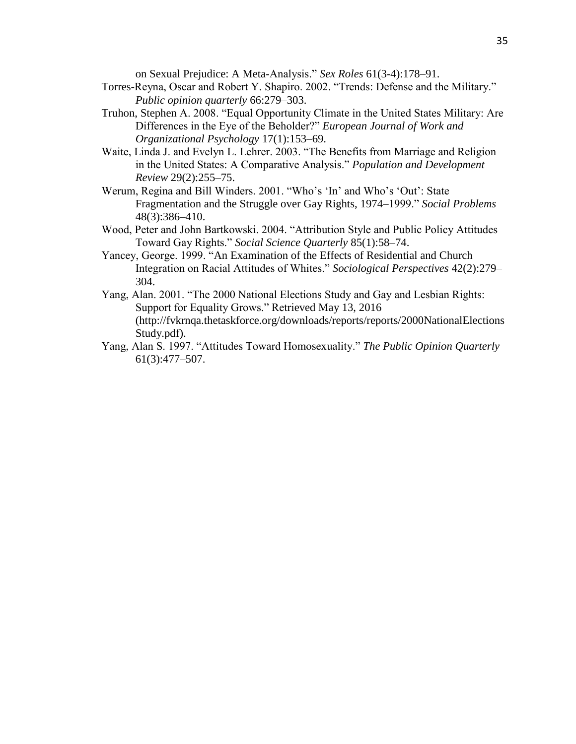on Sexual Prejudice: A Meta-Analysis." *Sex Roles* 61(3-4):178–91.

- Torres-Reyna, Oscar and Robert Y. Shapiro. 2002. "Trends: Defense and the Military." *Public opinion quarterly* 66:279–303.
- Truhon, Stephen A. 2008. "Equal Opportunity Climate in the United States Military: Are Differences in the Eye of the Beholder?" *European Journal of Work and Organizational Psychology* 17(1):153–69.
- Waite, Linda J. and Evelyn L. Lehrer. 2003. "The Benefits from Marriage and Religion in the United States: A Comparative Analysis." *Population and Development Review* 29(2):255–75.
- Werum, Regina and Bill Winders. 2001. "Who's 'In' and Who's 'Out': State Fragmentation and the Struggle over Gay Rights, 1974–1999." *Social Problems* 48(3):386–410.
- Wood, Peter and John Bartkowski. 2004. "Attribution Style and Public Policy Attitudes Toward Gay Rights." *Social Science Quarterly* 85(1):58–74.
- Yancey, George. 1999. "An Examination of the Effects of Residential and Church Integration on Racial Attitudes of Whites." *Sociological Perspectives* 42(2):279– 304.
- Yang, Alan. 2001. "The 2000 National Elections Study and Gay and Lesbian Rights: Support for Equality Grows." Retrieved May 13, 2016 (http://fvkrnqa.thetaskforce.org/downloads/reports/reports/2000NationalElections Study.pdf).
- Yang, Alan S. 1997. "Attitudes Toward Homosexuality." *The Public Opinion Quarterly* 61(3):477–507.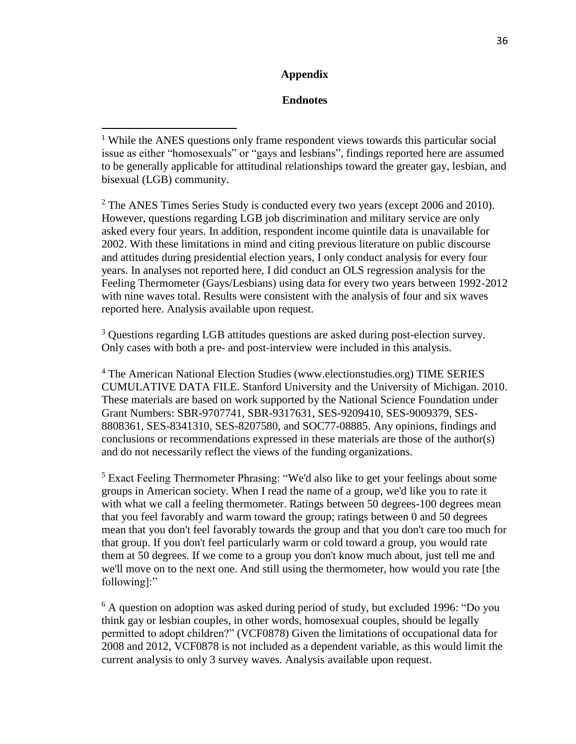## **Appendix**

## **Endnotes**

 $\overline{a}$ 

 $2$  The ANES Times Series Study is conducted every two years (except 2006 and 2010). However, questions regarding LGB job discrimination and military service are only asked every four years. In addition, respondent income quintile data is unavailable for 2002. With these limitations in mind and citing previous literature on public discourse and attitudes during presidential election years, I only conduct analysis for every four years. In analyses not reported here, I did conduct an OLS regression analysis for the Feeling Thermometer (Gays/Lesbians) using data for every two years between 1992-2012 with nine waves total. Results were consistent with the analysis of four and six waves reported here. Analysis available upon request.

<sup>3</sup> Questions regarding LGB attitudes questions are asked during post-election survey. Only cases with both a pre- and post-interview were included in this analysis.

<sup>4</sup> The American National Election Studies (www.electionstudies.org) TIME SERIES CUMULATIVE DATA FILE. Stanford University and the University of Michigan. 2010. These materials are based on work supported by the National Science Foundation under Grant Numbers: SBR-9707741, SBR-9317631, SES-9209410, SES-9009379, SES-8808361, SES-8341310, SES-8207580, and SOC77-08885. Any opinions, findings and conclusions or recommendations expressed in these materials are those of the author(s) and do not necessarily reflect the views of the funding organizations.

<sup>5</sup> Exact Feeling Thermometer Phrasing: "We'd also like to get your feelings about some groups in American society. When I read the name of a group, we'd like you to rate it with what we call a feeling thermometer. Ratings between 50 degrees-100 degrees mean that you feel favorably and warm toward the group; ratings between 0 and 50 degrees mean that you don't feel favorably towards the group and that you don't care too much for that group. If you don't feel particularly warm or cold toward a group, you would rate them at 50 degrees. If we come to a group you don't know much about, just tell me and we'll move on to the next one. And still using the thermometer, how would you rate [the following]:"

<sup>6</sup> A question on adoption was asked during period of study, but excluded 1996: "Do you think gay or lesbian couples, in other words, homosexual couples, should be legally permitted to adopt children?" (VCF0878) Given the limitations of occupational data for 2008 and 2012, VCF0878 is not included as a dependent variable, as this would limit the current analysis to only 3 survey waves. Analysis available upon request.

<sup>&</sup>lt;sup>1</sup> While the ANES questions only frame respondent views towards this particular social issue as either "homosexuals" or "gays and lesbians", findings reported here are assumed to be generally applicable for attitudinal relationships toward the greater gay, lesbian, and bisexual (LGB) community.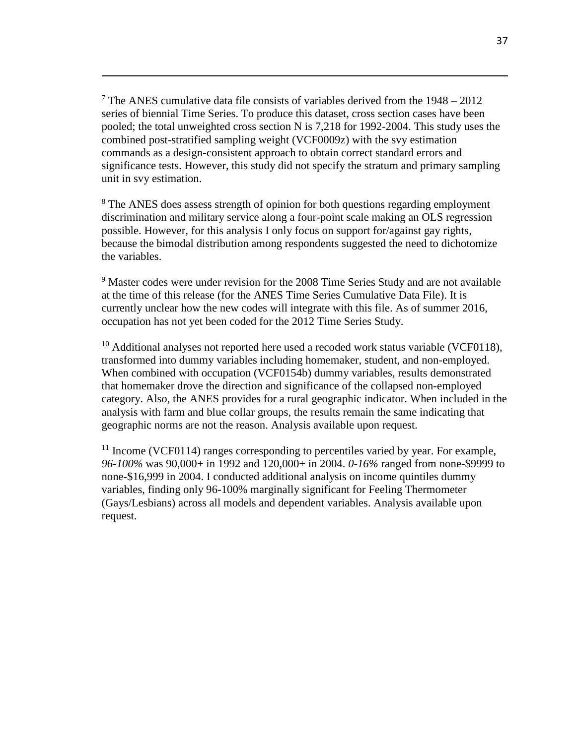$7$  The ANES cumulative data file consists of variables derived from the  $1948 - 2012$ series of biennial Time Series. To produce this dataset, cross section cases have been pooled; the total unweighted cross section N is 7,218 for 1992-2004. This study uses the combined post-stratified sampling weight (VCF0009z) with the svy estimation commands as a design-consistent approach to obtain correct standard errors and significance tests. However, this study did not specify the stratum and primary sampling unit in svy estimation.

 $\overline{a}$ 

<sup>8</sup> The ANES does assess strength of opinion for both questions regarding employment discrimination and military service along a four-point scale making an OLS regression possible. However, for this analysis I only focus on support for/against gay rights, because the bimodal distribution among respondents suggested the need to dichotomize the variables.

<sup>9</sup> Master codes were under revision for the 2008 Time Series Study and are not available at the time of this release (for the ANES Time Series Cumulative Data File). It is currently unclear how the new codes will integrate with this file. As of summer 2016, occupation has not yet been coded for the 2012 Time Series Study.

 $10$  Additional analyses not reported here used a recoded work status variable (VCF0118). transformed into dummy variables including homemaker, student, and non-employed. When combined with occupation (VCF0154b) dummy variables, results demonstrated that homemaker drove the direction and significance of the collapsed non-employed category. Also, the ANES provides for a rural geographic indicator. When included in the analysis with farm and blue collar groups, the results remain the same indicating that geographic norms are not the reason. Analysis available upon request.

 $11$  Income (VCF0114) ranges corresponding to percentiles varied by year. For example, *96-100%* was 90,000+ in 1992 and 120,000+ in 2004. *0-16%* ranged from none-\$9999 to none-\$16,999 in 2004. I conducted additional analysis on income quintiles dummy variables, finding only 96-100% marginally significant for Feeling Thermometer (Gays/Lesbians) across all models and dependent variables. Analysis available upon request.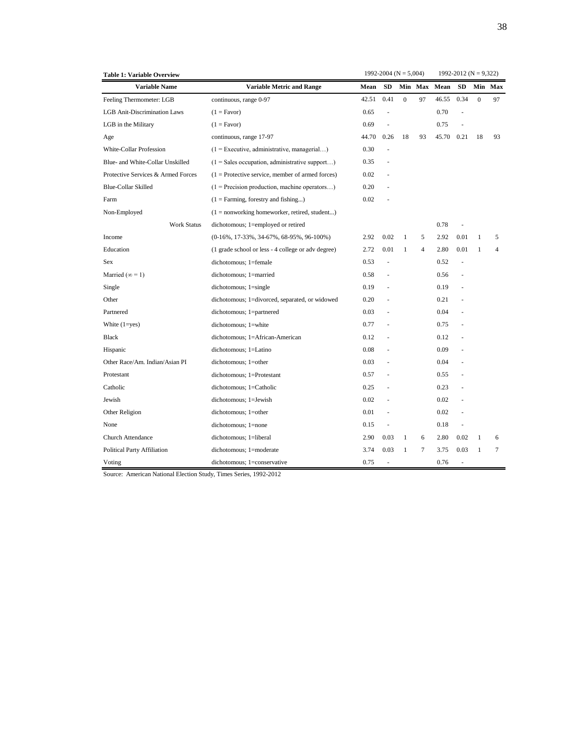| 1992-2012 ( $N = 9,322$ )<br>1992-2004 ( $N = 5,004$ ) |
|--------------------------------------------------------|
|--------------------------------------------------------|

| <b>Table 1: Variable Overview</b>   |                                                    |       | 1992-2004 ( $N = 5,004$ ) |              |                |       | 1992-2012 ( $N = 9,322$ ) |                |                |
|-------------------------------------|----------------------------------------------------|-------|---------------------------|--------------|----------------|-------|---------------------------|----------------|----------------|
| <b>Variable Name</b>                | <b>Variable Metric and Range</b>                   | Mean  | <b>SD</b>                 | Min          | Max            | Mean  | <b>SD</b>                 | Min            | Max            |
| Feeling Thermometer: LGB            | continuous, range 0-97                             | 42.51 | 0.41                      | $\mathbf{0}$ | 97             | 46.55 | 0.34                      | $\overline{0}$ | 97             |
| <b>LGB</b> Anit-Discrimination Laws | $(1 = \text{Favor})$                               | 0.65  | ÷,                        |              |                | 0.70  |                           |                |                |
| LGB in the Military                 | $(1 = \text{Favor})$                               | 0.69  |                           |              |                | 0.75  |                           |                |                |
| Age                                 | continuous, range 17-97                            | 44.70 | 0.26                      | 18           | 93             | 45.70 | 0.21                      | 18             | 93             |
| White-Collar Profession             | $(1)$ = Executive, administrative, managerial)     | 0.30  | ä,                        |              |                |       |                           |                |                |
| Blue- and White-Collar Unskilled    | $(1 = Sales occupation, administrative support)$   | 0.35  | ä,                        |              |                |       |                           |                |                |
| Protective Services & Armed Forces  | $(1 =$ Protective service, member of armed forces) | 0.02  |                           |              |                |       |                           |                |                |
| <b>Blue-Collar Skilled</b>          | $(1)$ = Precision production, machine operators)   | 0.20  |                           |              |                |       |                           |                |                |
| Farm                                | $(1 = \text{Farming},$ forestry and fishing)       | 0.02  |                           |              |                |       |                           |                |                |
| Non-Employed                        | $(1 = nonworking homeworker, retired, student)$    |       |                           |              |                |       |                           |                |                |
| <b>Work Status</b>                  | dichotomous; 1=employed or retired                 |       |                           |              |                | 0.78  |                           |                |                |
| Income                              | $(0-16\%, 17-33\%, 34-67\%, 68-95\%, 96-100\%)$    | 2.92  | 0.02                      | $\mathbf{1}$ | 5              | 2.92  | 0.01                      | 1              | 5              |
| Education                           | (1 grade school or less - 4 college or adv degree) | 2.72  | 0.01                      | $\mathbf{1}$ | $\overline{4}$ | 2.80  | 0.01                      | $\mathbf{1}$   | $\overline{4}$ |
| <b>Sex</b>                          | dichotomous; 1=female                              | 0.53  | J.                        |              |                | 0.52  |                           |                |                |
| Married ( $\infty = 1$ )            | dichotomous; 1=married                             | 0.58  | ÷,                        |              |                | 0.56  |                           |                |                |
| Single                              | $dichotomous; 1=single$                            | 0.19  |                           |              |                | 0.19  |                           |                |                |
| Other                               | dichotomous; 1=divorced, separated, or widowed     | 0.20  |                           |              |                | 0.21  |                           |                |                |
| Partnered                           | dichotomous; 1=partnered                           | 0.03  | ÷,                        |              |                | 0.04  |                           |                |                |
| White $(1 = yes)$                   | dichotomous; 1=white                               | 0.77  | ÷,                        |              |                | 0.75  |                           |                |                |
| <b>Black</b>                        | dichotomous; 1=African-American                    | 0.12  |                           |              |                | 0.12  |                           |                |                |
| Hispanic                            | dichotomous; 1=Latino                              | 0.08  |                           |              |                | 0.09  |                           |                |                |
| Other Race/Am. Indian/Asian PI      | dichotomous; 1=other                               | 0.03  |                           |              |                | 0.04  |                           |                |                |
| Protestant                          | dichotomous; 1=Protestant                          | 0.57  |                           |              |                | 0.55  |                           |                |                |
| Catholic                            | dichotomous; 1=Catholic                            | 0.25  |                           |              |                | 0.23  |                           |                |                |
| Jewish                              | dichotomous; 1=Jewish                              | 0.02  | ÷,                        |              |                | 0.02  |                           |                |                |
| Other Religion                      | dichotomous; 1=other                               | 0.01  | ä,                        |              |                | 0.02  |                           |                |                |
| None                                | dichotomous; 1=none                                | 0.15  | ÷,                        |              |                | 0.18  | $\sim$                    |                |                |
| Church Attendance                   | dichotomous; 1=liberal                             | 2.90  | 0.03                      | $\mathbf{1}$ | 6              | 2.80  | 0.02                      | 1              | 6              |
| Political Party Affiliation         | dichotomous; 1=moderate                            | 3.74  | 0.03                      | 1            | 7              | 3.75  | 0.03                      | $\mathbf{1}$   | $\tau$         |
| Voting                              | dichotomous; 1=conservative                        | 0.75  |                           |              |                | 0.76  | $\sim$                    |                |                |

Source: American National Election Study, Times Series, 1992-2012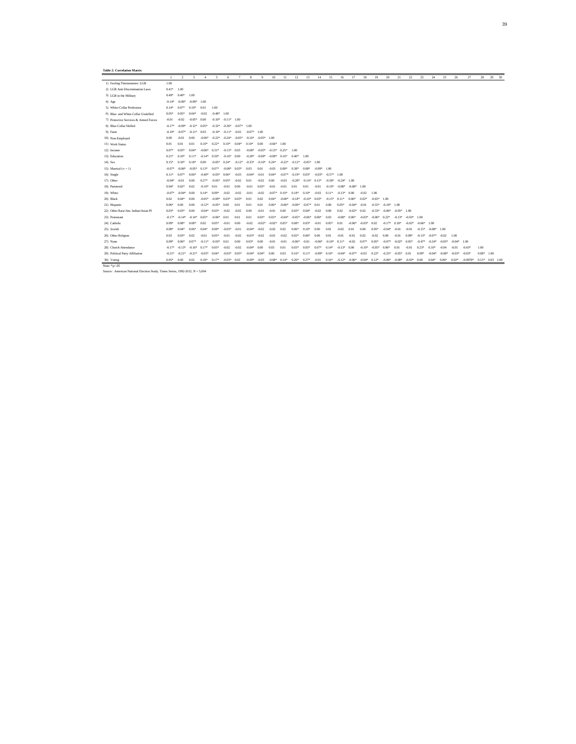#### **Table 2: Correlation Matrix**

|                                                                              | $\blacksquare$ | $\overline{2}$ | $\mathcal{R}$     | $\Delta$ | 5                 | 6                        |               | я              | $\mathbf Q$ | 10       | 11       | 12       | 13       | 14            | 15            | 16            | 17            | 18       | 19                        | 20             | 21            | 22                       | 23            | 24            | 25       | 26            | 27         | 28                | 29 | 30 |
|------------------------------------------------------------------------------|----------------|----------------|-------------------|----------|-------------------|--------------------------|---------------|----------------|-------------|----------|----------|----------|----------|---------------|---------------|---------------|---------------|----------|---------------------------|----------------|---------------|--------------------------|---------------|---------------|----------|---------------|------------|-------------------|----|----|
| 1) Feeling Thermometer: LGB                                                  | 1.00           |                |                   |          |                   |                          |               |                |             |          |          |          |          |               |               |               |               |          |                           |                |               |                          |               |               |          |               |            |                   |    |    |
| 2) LGB Anit-Discrimination Laws                                              | $0.41*$        | 1.00           |                   |          |                   |                          |               |                |             |          |          |          |          |               |               |               |               |          |                           |                |               |                          |               |               |          |               |            |                   |    |    |
| 3) LGB in the Military                                                       | $0.49*$        | $0.40*$        | 1.00              |          |                   |                          |               |                |             |          |          |          |          |               |               |               |               |          |                           |                |               |                          |               |               |          |               |            |                   |    |    |
| $4)$ Age                                                                     | $-0.14*$       | $-0.06*$       | $-0.09*$          | 1.00     |                   |                          |               |                |             |          |          |          |          |               |               |               |               |          |                           |                |               |                          |               |               |          |               |            |                   |    |    |
| 5) White-Collar Profession                                                   | $0.14*$        | $0.07*$        | $0.10*$           | 0.01     | 1.00              |                          |               |                |             |          |          |          |          |               |               |               |               |          |                           |                |               |                          |               |               |          |               |            |                   |    |    |
| 6) Blue- and White-Collar Unskilled                                          | $0.05*$        | $0.05*$        | $0.04*$           | $-0.02$  | $-0.48*$ 1.00     |                          |               |                |             |          |          |          |          |               |               |               |               |          |                           |                |               |                          |               |               |          |               |            |                   |    |    |
| 7) Protective Services & Armed Forces                                        | $-0.01$        | $-0.02$        | $-0.05*$          | 0.00     |                   | $-0.10^*$ $-0.11^*$ 1.00 |               |                |             |          |          |          |          |               |               |               |               |          |                           |                |               |                          |               |               |          |               |            |                   |    |    |
| 8) Blue-Collar Skilled                                                       | $-0.17*$       | $-0.09*$       | $-0.12*$ 0.05*    |          | $-0.32*$ $-0.36*$ |                          | $-0.07*$ 1.00 |                |             |          |          |          |          |               |               |               |               |          |                           |                |               |                          |               |               |          |               |            |                   |    |    |
| 9) Farm                                                                      | $-0.10*$       | $-0.07*$       | $-0.11*$          | 0.03     | $-0.10*$          | $-0.11*$                 | $-0.02$       | $-0.07*$ 1.00  |             |          |          |          |          |               |               |               |               |          |                           |                |               |                          |               |               |          |               |            |                   |    |    |
| 10) Non-Employed                                                             | 0.00           | $-0.01$        | 0.00              | $-0.06*$ | $-0.22*$          | $-0.24*$                 | $-0.05*$      | $-0.16*$       | $-0.05*$    | 1.00     |          |          |          |               |               |               |               |          |                           |                |               |                          |               |               |          |               |            |                   |    |    |
| 11) Work Status                                                              | 0.01           | 0.01           | 0.01              | $0.10*$  | $0.22*$           | $0.10*$                  | $0.04*$       | $0.10*$        | 0.00        | $-0.66*$ | 1.00     |          |          |               |               |               |               |          |                           |                |               |                          |               |               |          |               |            |                   |    |    |
| 12) Income                                                                   | $0.07*$        | $0.03*$        | $0.04*$           | $-0.06*$ | $0.31*$           | $-0.13*$ 0.03            |               | $-0.08*$       | $-0.05*$    | $-0.13*$ | $0.25*$  | 1.00     |          |               |               |               |               |          |                           |                |               |                          |               |               |          |               |            |                   |    |    |
| 13) Education                                                                | $0.21*$        | $0.10*$        | $0.11*$           | $-0.14*$ | $0.50*$           | $-0.16*$ 0.00            |               | $-0.28*$       | $-0.09*$    | $-0.09*$ | $0.16*$  | $0.40*$  | 1.00     |               |               |               |               |          |                           |                |               |                          |               |               |          |               |            |                   |    |    |
| 14) Sex                                                                      | $0.15*$        | $0.10*$        | $0.18*$           | 0.00     | $-0.05*$          | $0.24*$                  | $-0.12*$      | $-0.33*$       | $-0.10*$    | $0.24*$  | $-0.22*$ | $-0.12*$ | $-0.05*$ | 1.00          |               |               |               |          |                           |                |               |                          |               |               |          |               |            |                   |    |    |
| 15) Married ( $\infty = 1$ )                                                 | $-0.07*$       | $-0.06*$       | $-0.05*$          | $0.13*$  | $0.07*$           | $-0.08*$                 | $0.03*$       | 0.03           | 0.01        | $-0.03$  | $0.08*$  | $0.38*$  | $0.08*$  | $-0.09*$ 1.00 |               |               |               |          |                           |                |               |                          |               |               |          |               |            |                   |    |    |
| 16) Single                                                                   | $0.11*$        | $0.07*$        | $0.06*$           | $-0.40*$ | $-0.03*$          | $0.06*$                  | $-0.03$       | $-0.04*$       | $-0.01$     | $0.04*$  | $-0.07*$ | $-0.19*$ | $0.03*$  | $-0.03*$      | $-0.57*$ 1.00 |               |               |          |                           |                |               |                          |               |               |          |               |            |                   |    |    |
| 17) Other                                                                    | $-0.04*$       | $-0.01$        | 0.00              | $0.27*$  | $-0.05*$          | $0.05*$                  | $-0.02$       | 0.01           | $-0.02$     | 0.00     | $-0.03$  | $-0.28*$ | $-0.14*$ | $0.15*$       | $-0.58*$      | $-0.24*$ 1.00 |               |          |                           |                |               |                          |               |               |          |               |            |                   |    |    |
| 18) Partnered                                                                | $0.04*$        | $0.02*$        | 0.02              | $-0.10*$ | 0.01              | $-0.01$                  | 0.00          | $-0.01$        | $0.03*$     | $-0.01$  | $-0.01$  | 0.01     | 0.01     | $-0.01$       | $-0.19*$      | $-0.08*$      | $-0.08*$ 1.00 |          |                           |                |               |                          |               |               |          |               |            |                   |    |    |
| 19) White                                                                    | $-0.07*$       | $-0.04*$       | 0.00              | $0.14*$  | $0.09*$           | $-0.02$                  | $-0.02$       | $-0.01$        | $-0.02$     | $-0.07*$ | $0.10*$  | $0.18*$  | $0.10*$  | $-0.03$       | $0.11*$       | $-0.13*$      | 0.00          | $-0.02$  | 1.00                      |                |               |                          |               |               |          |               |            |                   |    |    |
| 20) Black                                                                    | 0.02           | $0.04*$        | 0.00              | $-0.05*$ | $-0.09*$          | $0.03*$                  | $0.03*$       | 0.01           | 0.02        | $0.04*$  | $-0.08*$ | $-0.18*$ | $-0.10*$ | $0.03*$       | $-0.15*$      | $0.11*$       | $0.06*$       | $0.02*$  | $-0.65*$ 1.00             |                |               |                          |               |               |          |               |            |                   |    |    |
| 21) Hispanic                                                                 | $0.06*$        | 0.00           | 0.00              | $-0.12*$ | $-0.05*$          | 0.00                     | 0.01          | 0.01           | 0.01        | $0.06*$  | $-0.06*$ | $-0.09*$ | $-0.07*$ | 0.01          | 0.00          | $0.05*$       | $-0.04*$      | $-0.01$  | $-0.55*$                  | $-0.10^*$ 1.00 |               |                          |               |               |          |               |            |                   |    |    |
| 22) Other Race/Am. Indian/Asian PI                                           | $0.03*$        | $0.03*$        | 0.00              | $-0.04*$ | $0.03*$           | $-0.02$                  | $-0.02$       | 0.00           | $-0.01$     | $-0.01$  | 0.00     | $0.03*$  | $0.04*$  | $-0.02$       | 0.00          | 0.02          | $-0.02*$      | 0.02     | $-0.33*$                  | $-0.06*$       | $-0.05*$ 1.00 |                          |               |               |          |               |            |                   |    |    |
| 23) Protestant                                                               | $-0.17*$       | $-0.14*$       | $-0.14*$          | $0.05*$  | $-0.06*$          | 0.01                     | 0.01          | 0.01           | $0.03*$     | $0.03*$  | $-0.04*$ | $-0.05*$ | $-0.06*$ | $0.06*$       | 0.03          | $-0.08*$      | $0.06*$       | $-0.03*$ | $-0.06*$                  | $0.22*$        | $-0.13*$      | $-0.03*$ 1.00            |               |               |          |               |            |                   |    |    |
| 24) Catholic                                                                 | $0.09*$        | $0.08*$        | $0.08*$           | 0.02     | $0.05*$           | $-0.01$                  | 0.00          | $-0.02$        | $-0.02*$    | $-0.02*$ | $0.05*$  | $0.08*$  | $0.03*$  | $-0.01$       | $0.05*$       | 0.01          | $-0.06*$      | $-0.03*$ | 0.02                      | $-0.17*$       | $0.18*$       | $-0.02*$                 | $-0.66*$ 1.00 |               |          |               |            |                   |    |    |
| 25) Jewish                                                                   | $0.08*$        | $0.04*$        | $0.06*$           | $0.04*$  | $0.09*$           | $-0.03*$                 | $-0.01$       | $-0.04*$       | $-0.02$     | $-0.02$  | 0.02     | $0.06*$  | $0.10*$  | 0.00          | 0.01          | $-0.02$       | 0.01          | 0.00     | $0.05*$                   | $-0.04*$       | $-0.01$       | $-0.01$                  | $-0.15*$      | $-0.08*$ 1.00 |          |               |            |                   |    |    |
| 26) Other Religion                                                           | 0.03           | $0.03*$        | 0.02              | $-0.01$  | $0.05*$           | $-0.01$                  | $-0.02$       | $-0.03*$       | $-0.02$     | $-0.01$  | $-0.02$  | $0.02*$  | $0.06*$  | 0.00          | 0.01          | $-0.01$       | $-0.01$       | 0.02     | $-0.02$                   | 0.00           | $-0.01$       | $0.09*$                  | $-0.13*$      | $-0.07*$      | $-0.02$  | 1.00          |            |                   |    |    |
| 27) None                                                                     | $0.09*$        | $0.06*$        | $0.07*$           | $-0.11*$ | $-0.03*$          | 0.01                     | 0.00          | $0.03*$        | 0.00        | $-0.01$  | $-0.01$  | $-0.06*$ | $-0.01$  | $-0.06*$      | $-0.10*$      | $0.11*$       | $-0.02$       | $0.07*$  | $0.05*$                   | $-0.07*$       | $-0.02*$      | $0.05*$                  | $-0.47*$      | $-0.24*$      | $-0.05*$ | $-0.04*$ 1.00 |            |                   |    |    |
| 28) Church Attendance                                                        | $-0.17*$       | $-0.13*$       | $-0.16*$          | $0.17*$  | $0.05*$           | $-0.02$                  | $-0.02$       | $-0.04*$       | 0.00        | 0.03     | 0.01     | $0.03*$  | $0.05*$  | $0.07*$       | $0.14*$       | $-0.13*$      | 0.00          | $-0.10*$ | $-0.05*$                  | $0.06*$        | 0.01          | $-0.01$                  | $0.23*$       | $0.10*$       | $-0.04$  | $-0.01$       | $-0.43*$   | 1.00              |    |    |
| 29) Political Party Affiliation                                              | $-0.21*$       | $-0.21*$       | $-0.21*$ $-0.03*$ |          | $0.04*$           | $-0.03*$                 | $0.05*$       | $-0.04*$ 0.04* |             | 0.00     | 0.03     | $0.16*$  | $0.11*$  | $-0.09*$      | $0.10*$       | $-0.04*$      | $-0.07*$      | $-0.03$  | $0.22*$                   | $-0.25*$       | $-0.05*$      | 0.01                     | $0.09*$       | $-0.04*$      | $-0.08*$ | $-0.03*$      | $-0.03*$   | $0.08*$ 1.00      |    |    |
| 30) Voting                                                                   | $0.05*$        | 0.00           | 0.02              | $0.18*$  | $0.17*$           | $-0.03*$ 0.02            |               | $-0.09*$       | $-0.03$     | $-0.08*$ | $0.14*$  | $0.26*$  | $0.27*$  | $-0.01$       | $0.16*$       | $-0.12*$      | $-0.06*$      |          | $-0.04*$ $0.12*$ $-0.06*$ |                |               | $-0.08^*$ $-0.03^*$ 0.00 |               | $0.04*$       | $0.06*$  | $0.02*$       | $-0.0978*$ | $0.15*$ 0.03 1.00 |    |    |
| Note: $*_{p<.05}$                                                            |                |                |                   |          |                   |                          |               |                |             |          |          |          |          |               |               |               |               |          |                           |                |               |                          |               |               |          |               |            |                   |    |    |
| Source: American National Election Study, Times Series, 1992-2012, N = 5,004 |                |                |                   |          |                   |                          |               |                |             |          |          |          |          |               |               |               |               |          |                           |                |               |                          |               |               |          |               |            |                   |    |    |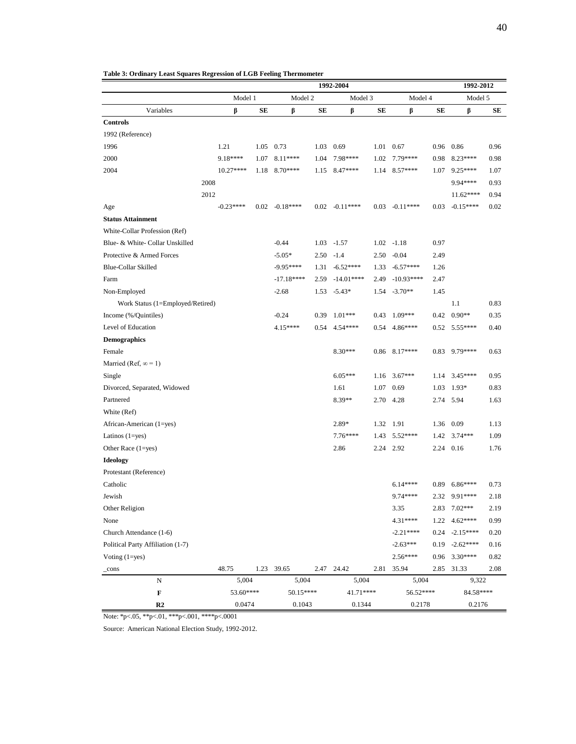| 40 |
|----|
|    |

|                                   |            |         |                  |      | 1992-2004        |      |                 |      | 1992-2012        |      |  |
|-----------------------------------|------------|---------|------------------|------|------------------|------|-----------------|------|------------------|------|--|
|                                   |            | Model 1 |                  |      | Model 3          |      | Model 4         |      | Model 5          |      |  |
| Variables                         | β          | SЕ      | β                | SЕ   | β                | SЕ   | β               | SЕ   | β                | SE   |  |
| <b>Controls</b>                   |            |         |                  |      |                  |      |                 |      |                  |      |  |
| 1992 (Reference)                  |            |         |                  |      |                  |      |                 |      |                  |      |  |
| 1996                              | 1.21       |         | 1.05 0.73        |      | 1.03 0.69        |      | 1.01 0.67       |      | 0.96 0.86        | 0.96 |  |
| 2000                              | 9.18****   | 1.07    | 8.11****         | 1.04 | 7.98****         |      | 1.02 7.79****   | 0.98 | 8.23****         | 0.98 |  |
| 2004                              | 10.27****  | 1.18    | $8.70***$        | 1.15 | 8.47****         |      | 1.14 8.57****   | 1.07 | $9.25***$        | 1.07 |  |
|                                   | 2008       |         |                  |      |                  |      |                 |      | 9.94****         | 0.93 |  |
|                                   | 2012       |         |                  |      |                  |      |                 |      | 11.62****        | 0.94 |  |
| Age                               | $-0.23***$ |         | $0.02 - 0.18***$ |      | $0.02 - 0.11***$ | 0.03 | $-0.11***$      | 0.03 | $-0.15***$       | 0.02 |  |
| <b>Status Attainment</b>          |            |         |                  |      |                  |      |                 |      |                  |      |  |
| White-Collar Profession (Ref)     |            |         |                  |      |                  |      |                 |      |                  |      |  |
| Blue- & White- Collar Unskilled   |            |         | $-0.44$          |      | $1.03 - 1.57$    |      | $1.02 - 1.18$   | 0.97 |                  |      |  |
| Protective & Armed Forces         |            |         | $-5.05*$         | 2.50 | $-1.4$           | 2.50 | $-0.04$         | 2.49 |                  |      |  |
| <b>Blue-Collar Skilled</b>        |            |         | $-9.95***$       | 1.31 | $-6.52***$       | 1.33 | $-6.57***$      | 1.26 |                  |      |  |
| Farm                              |            |         | $-17.18***$      | 2.59 | $-14.01***$      | 2.49 | $-10.93***$     | 2.47 |                  |      |  |
| Non-Employed                      |            |         | $-2.68$          | 1.53 | $-5.43*$         | 1.54 | $-3.70**$       | 1.45 |                  |      |  |
| Work Status (1=Employed/Retired)  |            |         |                  |      |                  |      |                 |      | 1.1              | 0.83 |  |
| Income (%/Quintiles)              |            |         | $-0.24$          | 0.39 | $1.01***$        |      | $0.43$ 1.09***  | 0.42 | $0.90**$         | 0.35 |  |
| Level of Education                |            |         | 4.15****         | 0.54 | 4.54****         |      | $0.54$ 4.86**** |      | $0.52$ 5.55****  | 0.40 |  |
| <b>Demographics</b>               |            |         |                  |      |                  |      |                 |      |                  |      |  |
| Female                            |            |         |                  |      | 8.30***          |      | $0.86$ 8.17**** | 0.83 | 9.79****         | 0.63 |  |
| Married (Ref, $\infty = 1$ )      |            |         |                  |      |                  |      |                 |      |                  |      |  |
| Single                            |            |         |                  |      | $6.05***$        | 1.16 | $3.67***$       |      | $1.14$ 3.45****  | 0.95 |  |
| Divorced, Separated, Widowed      |            |         |                  |      | 1.61             |      | 1.07 0.69       | 1.03 | $1.93*$          | 0.83 |  |
| Partnered                         |            |         |                  |      | 8.39**           |      | 2.70 4.28       |      | 2.74 5.94        | 1.63 |  |
| White (Ref)                       |            |         |                  |      |                  |      |                 |      |                  |      |  |
| African-American (1=yes)          |            |         |                  |      | 2.89*            | 1.32 | 1.91            |      | 1.36 0.09        | 1.13 |  |
| Latinos $(1 = yes)$               |            |         |                  |      | 7.76****         | 1.43 | $5.52***$       | 1.42 | $3.74***$        | 1.09 |  |
| Other Race $(1 = yes)$            |            |         |                  |      | 2.86             | 2.24 | 2.92            | 2.24 | 0.16             | 1.76 |  |
| <b>Ideology</b>                   |            |         |                  |      |                  |      |                 |      |                  |      |  |
| Protestant (Reference)            |            |         |                  |      |                  |      |                 |      |                  |      |  |
| Catholic                          |            |         |                  |      |                  |      | $6.14***$       |      | $0.89$ 6.86****  | 0.73 |  |
| Jewish                            |            |         |                  |      |                  |      | 9.74 ****       | 2.32 | 9.91****         | 2.18 |  |
| Other Religion                    |            |         |                  |      |                  |      | 3.35            |      | 2.83 7.02***     | 2.19 |  |
| None                              |            |         |                  |      |                  |      | 4.31****        | 1.22 | $4.62***$        | 0.99 |  |
| Church Attendance (1-6)           |            |         |                  |      |                  |      | $-2.21***$      |      | $0.24 - 2.15***$ | 0.20 |  |
| Political Party Affiliation (1-7) |            |         |                  |      |                  |      | $-2.63***$      | 0.19 | $-2.62***$       | 0.16 |  |
| Voting $(1 = yes)$                |            |         |                  |      |                  |      | $2.56***$       |      | 0.96 3.30****    | 0.82 |  |
| $_{\rm -cons}$                    | 48.75      | 1.23    | 39.65            |      | 2.47 24.42       | 2.81 | 35.94           | 2.85 | 31.33            | 2.08 |  |
| N                                 | 5,004      |         | 5,004            |      | 5,004            |      | 5,004           |      | 9,322            |      |  |
| $\mathbf F$                       | 53.60****  |         | 50.15****        |      | 41.71****        |      | 56.52****       |      | 84.58****        |      |  |
| R <sub>2</sub>                    | 0.0474     |         | 0.1043           |      | 0.1344           |      | 0.2178          |      | 0.2176           |      |  |

**Table 3: Ordinary Least Squares Regression of LGB Feeling Thermometer**

Note: \*p<.05, \*\*p<.01, \*\*\*p<.001, \*\*\*\*p<.0001

Source: American National Election Study, 1992-2012.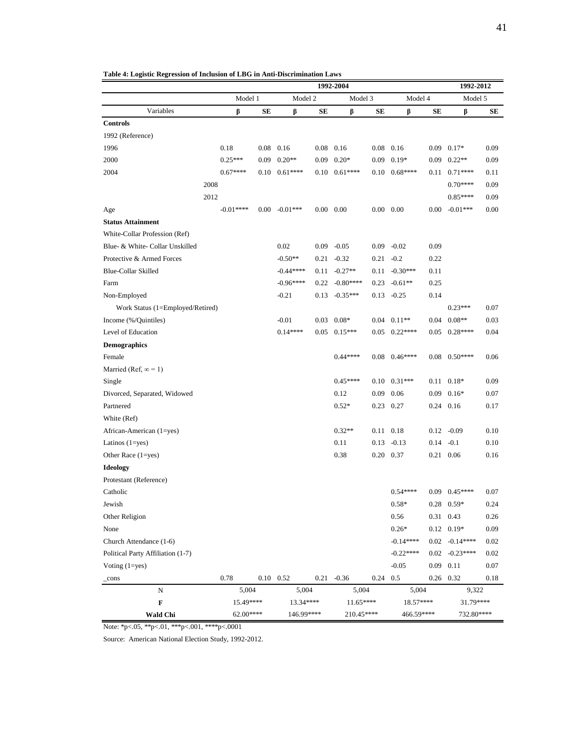|                                   |            | 1992-2004 |                   |      |                   |            |                      |      |                    | 1992-2012 |  |  |  |
|-----------------------------------|------------|-----------|-------------------|------|-------------------|------------|----------------------|------|--------------------|-----------|--|--|--|
|                                   | Model 1    |           | Model 2           |      | Model 3           |            | Model 4              |      | Model 5            |           |  |  |  |
| Variables                         | β          | SЕ        | β                 | SЕ   | β                 | SЕ         | β                    | SЕ   | ß                  | SЕ        |  |  |  |
| <b>Controls</b>                   |            |           |                   |      |                   |            |                      |      |                    |           |  |  |  |
| 1992 (Reference)                  |            |           |                   |      |                   |            |                      |      |                    |           |  |  |  |
| 1996                              | 0.18       |           | $0.08$ 0.16       |      | $0.08$ 0.16       |            | $0.08$ 0.16          |      | $0.09$ $0.17*$     | 0.09      |  |  |  |
| 2000                              | $0.25***$  | 0.09      | $0.20**$          | 0.09 | $0.20*$           | 0.09       | $0.19*$              | 0.09 | $0.22**$           | 0.09      |  |  |  |
| 2004                              | $0.67***$  | 0.10      | $0.61***$         | 0.10 | $0.61***$         |            | $0.10$ $0.68***$     | 0.11 | $0.71***$          | 0.11      |  |  |  |
|                                   | 2008       |           |                   |      |                   |            |                      |      | $0.70***$          | 0.09      |  |  |  |
|                                   | 2012       |           |                   |      |                   |            |                      |      | $0.85***$          | 0.09      |  |  |  |
| Age                               | $-0.01***$ | $0.00\,$  | $-0.01***$        |      | $0.00 \quad 0.00$ |            | $0.00\ 0.00$         | 0.00 | $-0.01***$         | 0.00      |  |  |  |
| <b>Status Attainment</b>          |            |           |                   |      |                   |            |                      |      |                    |           |  |  |  |
| White-Collar Profession (Ref)     |            |           |                   |      |                   |            |                      |      |                    |           |  |  |  |
| Blue- & White- Collar Unskilled   |            |           | 0.02              | 0.09 | $-0.05$           |            | $0.09 - 0.02$        | 0.09 |                    |           |  |  |  |
| Protective & Armed Forces         |            |           | $-0.50**$         |      | $0.21 - 0.32$     |            | $0.21 - 0.2$         | 0.22 |                    |           |  |  |  |
| <b>Blue-Collar Skilled</b>        |            |           | $-0.44***$        |      | $0.11 - 0.27**$   |            | $0.11 - 0.30***$     | 0.11 |                    |           |  |  |  |
| Farm                              |            |           | $-0.96***$        | 0.22 | $-0.80***$        | 0.23       | $-0.61**$            | 0.25 |                    |           |  |  |  |
| Non-Employed                      |            |           | $-0.21$           | 0.13 | $-0.35***$        | 0.13       | $-0.25$              | 0.14 |                    |           |  |  |  |
| Work Status (1=Employed/Retired)  |            |           |                   |      |                   |            |                      |      | $0.23***$          | 0.07      |  |  |  |
| Income (%/Quintiles)              |            |           | $-0.01$           | 0.03 | $0.08*$           |            | $0.04$ $0.11**$      | 0.04 | $0.08**$           | 0.03      |  |  |  |
| Level of Education                |            |           | $0.14***$         | 0.05 | $0.15***$         |            | $0.05$ $0.22***$     |      | $0.05$ 0.28****    | 0.04      |  |  |  |
| <b>Demographics</b>               |            |           |                   |      |                   |            |                      |      |                    |           |  |  |  |
| Female                            |            |           |                   |      | $0.44***$         |            | $0.08$ $0.46***$     |      | $0.08$ $0.50***$   | 0.06      |  |  |  |
| Married (Ref, $\infty = 1$ )      |            |           |                   |      |                   |            |                      |      |                    |           |  |  |  |
| Single                            |            |           |                   |      | $0.45***$         |            | $0.10 \quad 0.31***$ | 0.11 | $0.18*$            | 0.09      |  |  |  |
| Divorced, Separated, Widowed      |            |           |                   |      | 0.12              |            | $0.09$ 0.06          | 0.09 | $0.16*$            | 0.07      |  |  |  |
| Partnered                         |            |           |                   |      | $0.52*$           |            | 0.23 0.27            |      | $0.24$ 0.16        | 0.17      |  |  |  |
| White (Ref)                       |            |           |                   |      |                   |            |                      |      |                    |           |  |  |  |
| African-American (1=yes)          |            |           |                   |      | $0.32**$          |            | $0.11 \quad 0.18$    | 0.12 | $-0.09$            | 0.10      |  |  |  |
| Latinos $(1 = yes)$               |            |           |                   |      | 0.11              | 0.13       | $-0.13$              | 0.14 | $-0.1$             | 0.10      |  |  |  |
| Other Race $(1 = yes)$            |            |           |                   |      | 0.38              |            | $0.20 \quad 0.37$    |      | 0.21 0.06          | 0.16      |  |  |  |
| <b>Ideology</b>                   |            |           |                   |      |                   |            |                      |      |                    |           |  |  |  |
| Protestant (Reference)            |            |           |                   |      |                   |            |                      |      |                    |           |  |  |  |
| Catholic                          |            |           |                   |      |                   |            | $0.54***$            |      | $0.09$ $0.45***$   | 0.07      |  |  |  |
| Jewish                            |            |           |                   |      |                   |            | $0.58*$              |      | $0.28$ 0.59*       | 0.24      |  |  |  |
| Other Religion                    |            |           |                   |      |                   |            | 0.56                 |      | 0.31 0.43          | 0.26      |  |  |  |
| None                              |            |           |                   |      |                   |            | $0.26*$              |      | $0.12 \quad 0.19*$ | 0.09      |  |  |  |
| Church Attendance (1-6)           |            |           |                   |      |                   |            | $-0.14***$           |      | $0.02 - 0.14***$   | $0.02\,$  |  |  |  |
| Political Party Affiliation (1-7) |            |           |                   |      |                   |            | $-0.22***$           |      | $0.02 - 0.23***$   | $0.02\,$  |  |  |  |
| Voting $(1 = yes)$                |            |           |                   |      |                   |            | $-0.05$              | 0.09 | 0.11               | 0.07      |  |  |  |
| _cons                             | 0.78       |           | $0.10 \quad 0.52$ |      | $0.21 - 0.36$     | $0.24$ 0.5 |                      |      | $0.26$ 0.32        | 0.18      |  |  |  |
| N                                 | 5,004      |           | 5,004             |      | 5,004             |            | 5,004                |      | 9,322              |           |  |  |  |
| $\mathbf F$                       | 15.49****  |           | 13.34****         |      | $11.65***$        |            | 18.57****            |      | 31.79****          |           |  |  |  |
| <b>Wald Chi</b>                   | 62.00****  |           | 146.99****        |      | 210.45****        |            | 466.59****           |      | 732.80****         |           |  |  |  |

**Table 4: Logistic Regression of Inclusion of LBG in Anti-Discrimination Laws**

Note: \*p<.05, \*\*p<.01, \*\*\*p<.001, \*\*\*\*p<.0001

Source: American National Election Study, 1992-2012.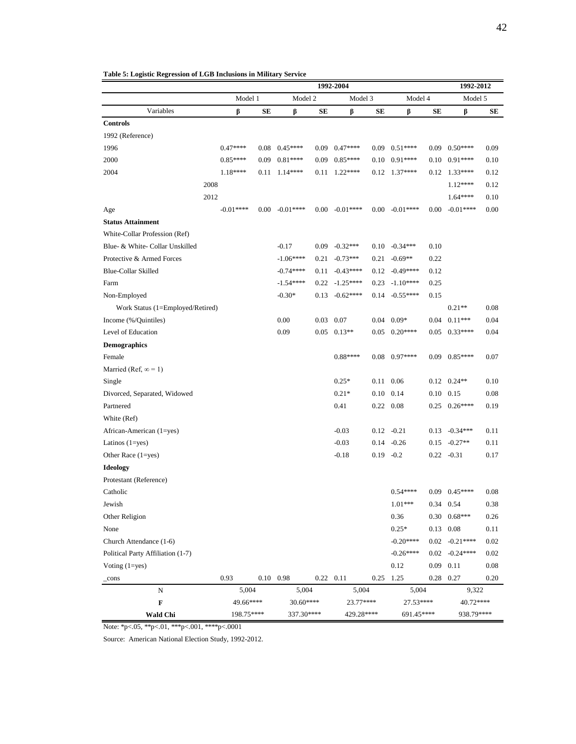|                                   |            |      |                  |      | 1992-2004         |      |                      |      | 1992-2012           |          |  |
|-----------------------------------|------------|------|------------------|------|-------------------|------|----------------------|------|---------------------|----------|--|
|                                   | Model 1    |      | Model 2          |      | Model 3           |      | Model 4              |      | Model 5             |          |  |
| Variables                         | β          | SЕ   | β                | SЕ   | β                 | SЕ   | β                    | SЕ   | β                   | SЕ       |  |
| <b>Controls</b>                   |            |      |                  |      |                   |      |                      |      |                     |          |  |
| 1992 (Reference)                  |            |      |                  |      |                   |      |                      |      |                     |          |  |
| 1996                              | $0.47***$  |      | $0.08$ $0.45***$ |      | $0.09$ $0.47***$  |      | $0.09$ $0.51***$     |      | $0.09$ $0.50***$    | 0.09     |  |
| 2000                              | $0.85***$  | 0.09 | $0.81***$        | 0.09 | $0.85***$         |      | $0.10 \quad 0.91***$ | 0.10 | $0.91***$           | 0.10     |  |
| 2004                              | 1.18****   | 0.11 | $1.14***$        | 0.11 | $1.22***$         |      | $0.12$ 1.37****      |      | $0.12$ 1.33****     | 0.12     |  |
|                                   | 2008       |      |                  |      |                   |      |                      |      | $1.12***$           | 0.12     |  |
|                                   | 2012       |      |                  |      |                   |      |                      |      | $1.64***$           | 0.10     |  |
| Age                               | $-0.01***$ |      | $0.00 - 0.01***$ |      | $0.00 - 0.01***$  |      | $0.00 - 0.01***$     | 0.00 | $-0.01***$          | 0.00     |  |
| <b>Status Attainment</b>          |            |      |                  |      |                   |      |                      |      |                     |          |  |
| White-Collar Profession (Ref)     |            |      |                  |      |                   |      |                      |      |                     |          |  |
| Blue- & White- Collar Unskilled   |            |      | $-0.17$          |      | $0.09 - 0.32***$  |      | $0.10 - 0.34***$     | 0.10 |                     |          |  |
| Protective & Armed Forces         |            |      | $-1.06***$       | 0.21 | $-0.73***$        | 0.21 | $-0.69**$            | 0.22 |                     |          |  |
| <b>Blue-Collar Skilled</b>        |            |      | $-0.74***$       | 0.11 | $-0.43***$        |      | $0.12 - 0.49***$     | 0.12 |                     |          |  |
| Farm                              |            |      | $-1.54***$       |      | $0.22 -1.25***$   | 0.23 | $-1.10***$           | 0.25 |                     |          |  |
| Non-Employed                      |            |      | $-0.30*$         | 0.13 | $-0.62***$        |      | $0.14 - 0.55***$     | 0.15 |                     |          |  |
| Work Status (1=Employed/Retired)  |            |      |                  |      |                   |      |                      |      | $0.21**$            | 0.08     |  |
| Income (%/Quintiles)              |            |      | 0.00             | 0.03 | 0.07              |      | $0.04$ $0.09*$       |      | $0.04$ $0.11***$    | 0.04     |  |
| Level of Education                |            |      | 0.09             |      | $0.05$ $0.13**$   |      | $0.05$ $0.20***$     |      | $0.05$ $0.33***$    | 0.04     |  |
| <b>Demographics</b>               |            |      |                  |      |                   |      |                      |      |                     |          |  |
| Female                            |            |      |                  |      | $0.88***$         |      | $0.08$ 0.97****      |      | $0.09$ $0.85***$    | 0.07     |  |
| Married (Ref, $\infty$ = 1)       |            |      |                  |      |                   |      |                      |      |                     |          |  |
| Single                            |            |      |                  |      | $0.25*$           |      | 0.11 0.06            |      | $0.12 \quad 0.24**$ | 0.10     |  |
| Divorced, Separated, Widowed      |            |      |                  |      | $0.21*$           |      | $0.10 \quad 0.14$    |      | $0.10 \quad 0.15$   | 0.08     |  |
| Partnered                         |            |      |                  |      | 0.41              |      | 0.22 0.08            |      | $0.25$ $0.26***$    | 0.19     |  |
| White (Ref)                       |            |      |                  |      |                   |      |                      |      |                     |          |  |
| African-American (1=yes)          |            |      |                  |      | $-0.03$           |      | $0.12 - 0.21$        |      | $0.13 - 0.34***$    | 0.11     |  |
| Latinos $(1 = yes)$               |            |      |                  |      | $-0.03$           |      | $0.14 - 0.26$        | 0.15 | $-0.27**$           | 0.11     |  |
| Other Race $(1 = yes)$            |            |      |                  |      | $-0.18$           |      | $0.19 - 0.2$         |      | $0.22 - 0.31$       | 0.17     |  |
| <b>Ideology</b>                   |            |      |                  |      |                   |      |                      |      |                     |          |  |
| Protestant (Reference)            |            |      |                  |      |                   |      |                      |      |                     |          |  |
| Catholic                          |            |      |                  |      |                   |      | $0.54***$            |      | $0.09$ $0.45***$    | 0.08     |  |
| Jewish                            |            |      |                  |      |                   |      | $1.01***$            |      | $0.34$ 0.54         | 0.38     |  |
| Other Religion                    |            |      |                  |      |                   |      | 0.36                 |      | $0.30$ $0.68***$    | 0.26     |  |
| None                              |            |      |                  |      |                   |      | $0.25*$              |      | $0.13 \quad 0.08$   | 0.11     |  |
| Church Attendance (1-6)           |            |      |                  |      |                   |      | $-0.20***$           |      | $0.02 - 0.21***$    | $0.02\,$ |  |
| Political Party Affiliation (1-7) |            |      |                  |      |                   |      | $-0.26***$           |      | $0.02 - 0.24***$    | 0.02     |  |
| Voting $(1 = yes)$                |            |      |                  |      |                   |      | 0.12                 | 0.09 | 0.11                | $0.08\,$ |  |
| $_{\rm -cons}$                    | 0.93       |      | $0.10$ 0.98      |      | $0.22 \quad 0.11$ |      | $0.25$ 1.25          |      | $0.28$ 0.27         | 0.20     |  |
| N                                 | 5,004      |      | 5,004            |      | 5,004             |      | 5,004                |      | 9,322               |          |  |
| F                                 | 49.66****  |      | 30.60****        |      | 23.77****         |      | 27.53****            |      | 40.72****           |          |  |
| <b>Wald Chi</b>                   | 198.75**** |      | 337.30****       |      | 429.28****        |      | 691.45****           |      | 938.79****          |          |  |

**Table 5: Logistic Regression of LGB Inclusions in Military Service**

Note: \*p<.05, \*\*p<.01, \*\*\*p<.001, \*\*\*\*p<.0001

Source: American National Election Study, 1992-2012.